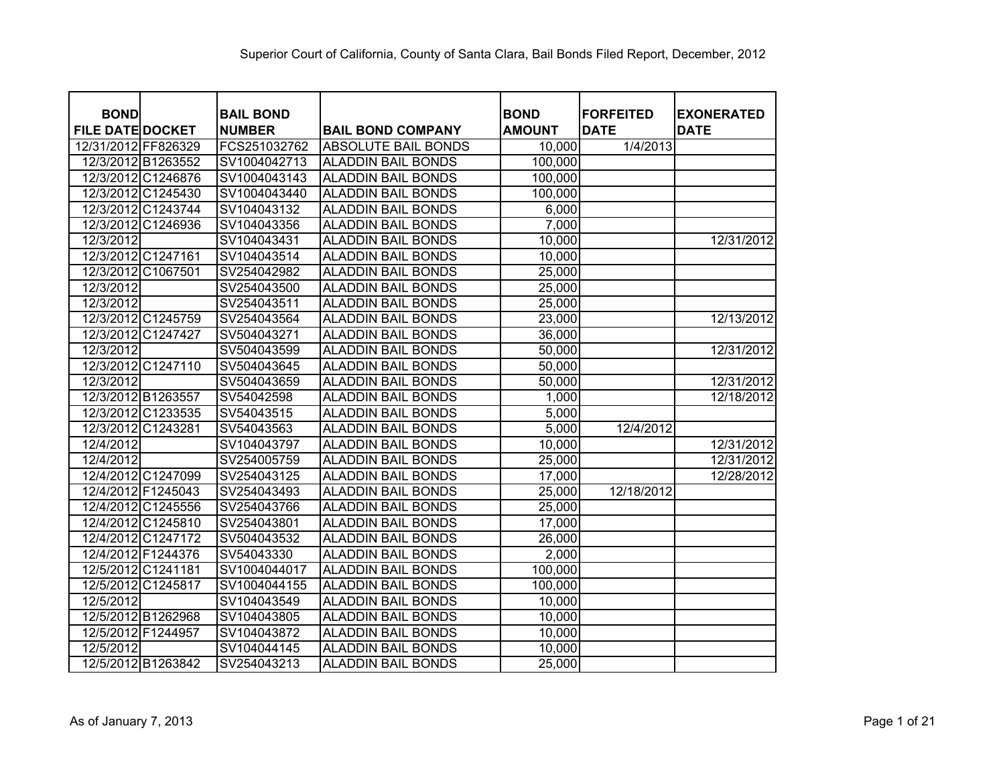| <b>BOND</b><br><b>FILE DATE DOCKET</b> |                    | <b>BAIL BOND</b><br><b>NUMBER</b> | <b>BAIL BOND COMPANY</b>   | <b>BOND</b><br><b>AMOUNT</b> | <b>FORFEITED</b><br><b>DATE</b> | <b>EXONERATED</b><br><b>DATE</b> |
|----------------------------------------|--------------------|-----------------------------------|----------------------------|------------------------------|---------------------------------|----------------------------------|
| 12/31/2012 FF826329                    |                    | FCS251032762                      | <b>ABSOLUTE BAIL BONDS</b> | 10,000                       | 1/4/2013                        |                                  |
|                                        | 12/3/2012 B1263552 | SV1004042713                      | <b>ALADDIN BAIL BONDS</b>  | 100,000                      |                                 |                                  |
|                                        | 12/3/2012 C1246876 | SV1004043143                      | <b>ALADDIN BAIL BONDS</b>  | 100,000                      |                                 |                                  |
|                                        | 12/3/2012 C1245430 | SV1004043440                      | <b>ALADDIN BAIL BONDS</b>  | 100,000                      |                                 |                                  |
|                                        | 12/3/2012 C1243744 | SV104043132                       | <b>ALADDIN BAIL BONDS</b>  | 6,000                        |                                 |                                  |
|                                        | 12/3/2012 C1246936 | SV104043356                       | ALADDIN BAIL BONDS         | 7,000                        |                                 |                                  |
| 12/3/2012                              |                    | SV104043431                       | <b>ALADDIN BAIL BONDS</b>  | 10,000                       |                                 | 12/31/2012                       |
|                                        | 12/3/2012 C1247161 | SV104043514                       | <b>ALADDIN BAIL BONDS</b>  | 10,000                       |                                 |                                  |
|                                        | 12/3/2012 C1067501 | SV254042982                       | ALADDIN BAIL BONDS         | 25,000                       |                                 |                                  |
| 12/3/2012                              |                    | SV254043500                       | ALADDIN BAIL BONDS         | 25,000                       |                                 |                                  |
| 12/3/2012                              |                    | SV254043511                       | ALADDIN BAIL BONDS         | 25,000                       |                                 |                                  |
|                                        | 12/3/2012 C1245759 | SV254043564                       | ALADDIN BAIL BONDS         | 23,000                       |                                 | 12/13/2012                       |
|                                        | 12/3/2012 C1247427 | SV504043271                       | <b>ALADDIN BAIL BONDS</b>  | 36,000                       |                                 |                                  |
| 12/3/2012                              |                    | SV504043599                       | ALADDIN BAIL BONDS         | 50,000                       |                                 | 12/31/2012                       |
|                                        | 12/3/2012 C1247110 | SV504043645                       | <b>ALADDIN BAIL BONDS</b>  | 50,000                       |                                 |                                  |
| 12/3/2012                              |                    | SV504043659                       | ALADDIN BAIL BONDS         | 50,000                       |                                 | 12/31/2012                       |
|                                        | 12/3/2012 B1263557 | SV54042598                        | ALADDIN BAIL BONDS         | 1,000                        |                                 | 12/18/2012                       |
|                                        | 12/3/2012 C1233535 | SV54043515                        | ALADDIN BAIL BONDS         | 5,000                        |                                 |                                  |
|                                        | 12/3/2012 C1243281 | SV54043563                        | <b>ALADDIN BAIL BONDS</b>  | 5,000                        | 12/4/2012                       |                                  |
| 12/4/2012                              |                    | SV104043797                       | <b>ALADDIN BAIL BONDS</b>  | 10,000                       |                                 | 12/31/2012                       |
| 12/4/2012                              |                    | SV254005759                       | ALADDIN BAIL BONDS         | 25,000                       |                                 | 12/31/2012                       |
|                                        | 12/4/2012 C1247099 | SV254043125                       | <b>ALADDIN BAIL BONDS</b>  | 17,000                       |                                 | 12/28/2012                       |
|                                        | 12/4/2012 F1245043 | SV254043493                       | <b>ALADDIN BAIL BONDS</b>  | 25,000                       | 12/18/2012                      |                                  |
|                                        | 12/4/2012 C1245556 | SV254043766                       | <b>ALADDIN BAIL BONDS</b>  | 25,000                       |                                 |                                  |
|                                        | 12/4/2012 C1245810 | SV254043801                       | <b>ALADDIN BAIL BONDS</b>  | 17,000                       |                                 |                                  |
|                                        | 12/4/2012 C1247172 | SV504043532                       | <b>ALADDIN BAIL BONDS</b>  | 26,000                       |                                 |                                  |
|                                        | 12/4/2012 F1244376 | SV54043330                        | <b>ALADDIN BAIL BONDS</b>  | 2,000                        |                                 |                                  |
|                                        | 12/5/2012 C1241181 | SV1004044017                      | <b>ALADDIN BAIL BONDS</b>  | 100,000                      |                                 |                                  |
|                                        | 12/5/2012 C1245817 | SV1004044155                      | <b>ALADDIN BAIL BONDS</b>  | 100,000                      |                                 |                                  |
| 12/5/2012                              |                    | SV104043549                       | <b>ALADDIN BAIL BONDS</b>  | 10,000                       |                                 |                                  |
|                                        | 12/5/2012 B1262968 | SV104043805                       | <b>ALADDIN BAIL BONDS</b>  | 10,000                       |                                 |                                  |
|                                        | 12/5/2012 F1244957 | SV104043872                       | <b>ALADDIN BAIL BONDS</b>  | 10,000                       |                                 |                                  |
| 12/5/2012                              |                    | SV104044145                       | <b>ALADDIN BAIL BONDS</b>  | 10,000                       |                                 |                                  |
|                                        | 12/5/2012 B1263842 | SV254043213                       | <b>ALADDIN BAIL BONDS</b>  | 25,000                       |                                 |                                  |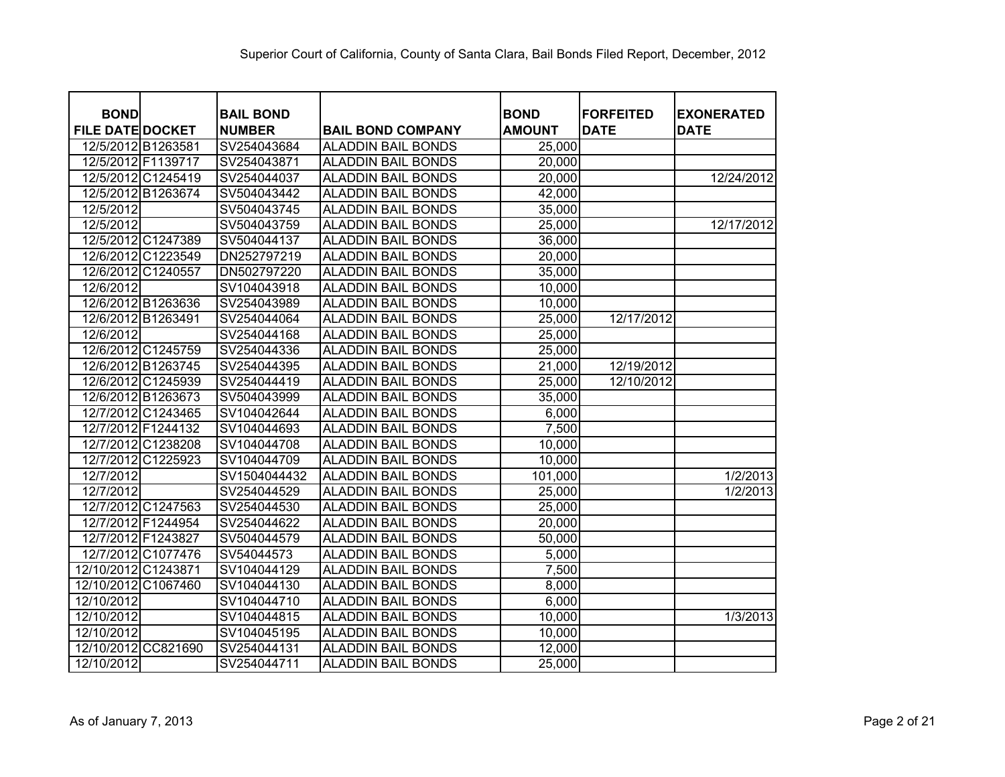| <b>BOND</b>             |                    | <b>BAIL BOND</b> |                           | <b>BOND</b>   | <b>FORFEITED</b> | <b>EXONERATED</b> |
|-------------------------|--------------------|------------------|---------------------------|---------------|------------------|-------------------|
| <b>FILE DATE DOCKET</b> |                    | <b>NUMBER</b>    | <b>BAIL BOND COMPANY</b>  | <b>AMOUNT</b> | <b>DATE</b>      | <b>DATE</b>       |
| 12/5/2012 B1263581      |                    | SV254043684      | <b>ALADDIN BAIL BONDS</b> | 25,000        |                  |                   |
| 12/5/2012 F1139717      |                    | SV254043871      | <b>ALADDIN BAIL BONDS</b> | 20,000        |                  |                   |
|                         | 12/5/2012 C1245419 | SV254044037      | <b>ALADDIN BAIL BONDS</b> | 20,000        |                  | 12/24/2012        |
|                         | 12/5/2012 B1263674 | SV504043442      | <b>ALADDIN BAIL BONDS</b> | 42,000        |                  |                   |
| 12/5/2012               |                    | SV504043745      | <b>ALADDIN BAIL BONDS</b> | 35,000        |                  |                   |
| 12/5/2012               |                    | SV504043759      | <b>ALADDIN BAIL BONDS</b> | 25,000        |                  | 12/17/2012        |
|                         | 12/5/2012 C1247389 | SV504044137      | <b>ALADDIN BAIL BONDS</b> | 36,000        |                  |                   |
|                         | 12/6/2012 C1223549 | DN252797219      | <b>ALADDIN BAIL BONDS</b> | 20,000        |                  |                   |
| 12/6/2012 C1240557      |                    | DN502797220      | <b>ALADDIN BAIL BONDS</b> | 35,000        |                  |                   |
| 12/6/2012               |                    | SV104043918      | <b>ALADDIN BAIL BONDS</b> | 10,000        |                  |                   |
| 12/6/2012 B1263636      |                    | SV254043989      | <b>ALADDIN BAIL BONDS</b> | 10,000        |                  |                   |
| 12/6/2012 B1263491      |                    | SV254044064      | <b>ALADDIN BAIL BONDS</b> | 25,000        | 12/17/2012       |                   |
| 12/6/2012               |                    | SV254044168      | <b>ALADDIN BAIL BONDS</b> | 25,000        |                  |                   |
|                         | 12/6/2012 C1245759 | SV254044336      | <b>ALADDIN BAIL BONDS</b> | 25,000        |                  |                   |
|                         | 12/6/2012 B1263745 | SV254044395      | <b>ALADDIN BAIL BONDS</b> | 21,000        | 12/19/2012       |                   |
|                         | 12/6/2012 C1245939 | SV254044419      | <b>ALADDIN BAIL BONDS</b> | 25,000        | 12/10/2012       |                   |
| 12/6/2012 B1263673      |                    | SV504043999      | <b>ALADDIN BAIL BONDS</b> | 35,000        |                  |                   |
|                         | 12/7/2012 C1243465 | SV104042644      | <b>ALADDIN BAIL BONDS</b> | 6,000         |                  |                   |
| 12/7/2012 F1244132      |                    | SV104044693      | <b>ALADDIN BAIL BONDS</b> | 7,500         |                  |                   |
|                         | 12/7/2012 C1238208 | SV104044708      | <b>ALADDIN BAIL BONDS</b> | 10,000        |                  |                   |
| 12/7/2012               | C1225923           | SV104044709      | <b>ALADDIN BAIL BONDS</b> | 10,000        |                  |                   |
| 12/7/2012               |                    | SV1504044432     | <b>ALADDIN BAIL BONDS</b> | 101,000       |                  | 1/2/2013          |
| 12/7/2012               |                    | SV254044529      | <b>ALADDIN BAIL BONDS</b> | 25,000        |                  | 1/2/2013          |
|                         | 12/7/2012 C1247563 | SV254044530      | <b>ALADDIN BAIL BONDS</b> | 25,000        |                  |                   |
| 12/7/2012 F1244954      |                    | SV254044622      | <b>ALADDIN BAIL BONDS</b> | 20,000        |                  |                   |
| 12/7/2012 F1243827      |                    | SV504044579      | <b>ALADDIN BAIL BONDS</b> | 50,000        |                  |                   |
|                         | 12/7/2012 C1077476 | SV54044573       | <b>ALADDIN BAIL BONDS</b> | 5,000         |                  |                   |
| 12/10/2012 C1243871     |                    | SV104044129      | <b>ALADDIN BAIL BONDS</b> | 7,500         |                  |                   |
| 12/10/2012 C1067460     |                    | SV104044130      | <b>ALADDIN BAIL BONDS</b> | 8,000         |                  |                   |
| 12/10/2012              |                    | SV104044710      | <b>ALADDIN BAIL BONDS</b> | 6,000         |                  |                   |
| 12/10/2012              |                    | SV104044815      | <b>ALADDIN BAIL BONDS</b> | 10,000        |                  | 1/3/2013          |
| 12/10/2012              |                    | SV104045195      | <b>ALADDIN BAIL BONDS</b> | 10,000        |                  |                   |
| 12/10/2012 CC821690     |                    | SV254044131      | <b>ALADDIN BAIL BONDS</b> | 12,000        |                  |                   |
| 12/10/2012              |                    | SV254044711      | <b>ALADDIN BAIL BONDS</b> | 25,000        |                  |                   |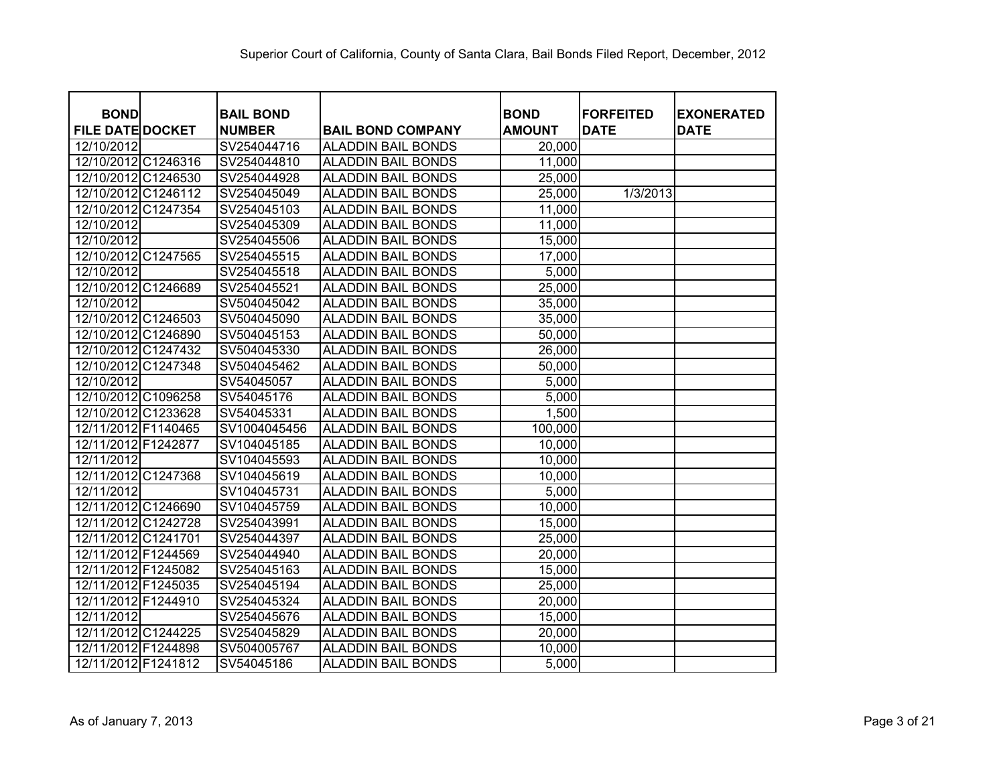| <b>BOND</b>                       | <b>BAIL BOND</b> |                           | <b>BOND</b>   | <b>FORFEITED</b> | <b>EXONERATED</b> |
|-----------------------------------|------------------|---------------------------|---------------|------------------|-------------------|
| <b>FILE DATE DOCKET</b>           | <b>NUMBER</b>    | <b>BAIL BOND COMPANY</b>  | <b>AMOUNT</b> | <b>DATE</b>      | <b>DATE</b>       |
| 12/10/2012<br>12/10/2012 C1246316 | SV254044716      | <b>ALADDIN BAIL BONDS</b> | 20,000        |                  |                   |
|                                   | SV254044810      | <b>ALADDIN BAIL BONDS</b> | 11,000        |                  |                   |
| 12/10/2012 C1246530               | SV254044928      | <b>ALADDIN BAIL BONDS</b> | 25,000        |                  |                   |
| 12/10/2012 C1246112               | SV254045049      | <b>ALADDIN BAIL BONDS</b> | 25,000        | 1/3/2013         |                   |
| 12/10/2012 C1247354               | SV254045103      | <b>ALADDIN BAIL BONDS</b> | 11,000        |                  |                   |
| 12/10/2012                        | SV254045309      | <b>ALADDIN BAIL BONDS</b> | 11,000        |                  |                   |
| 12/10/2012                        | SV254045506      | <b>ALADDIN BAIL BONDS</b> | 15,000        |                  |                   |
| 12/10/2012 C1247565               | SV254045515      | <b>ALADDIN BAIL BONDS</b> | 17,000        |                  |                   |
| 12/10/2012                        | SV254045518      | <b>ALADDIN BAIL BONDS</b> | 5,000         |                  |                   |
| 12/10/2012 C1246689               | SV254045521      | <b>ALADDIN BAIL BONDS</b> | 25,000        |                  |                   |
| 12/10/2012                        | SV504045042      | <b>ALADDIN BAIL BONDS</b> | 35,000        |                  |                   |
| 12/10/2012 C1246503               | SV504045090      | <b>ALADDIN BAIL BONDS</b> | 35,000        |                  |                   |
| 12/10/2012 C1246890               | SV504045153      | <b>ALADDIN BAIL BONDS</b> | 50,000        |                  |                   |
| 12/10/2012 C1247432               | SV504045330      | <b>ALADDIN BAIL BONDS</b> | 26,000        |                  |                   |
| 12/10/2012 C1247348               | SV504045462      | <b>ALADDIN BAIL BONDS</b> | 50,000        |                  |                   |
| 12/10/2012                        | SV54045057       | <b>ALADDIN BAIL BONDS</b> | 5,000         |                  |                   |
| 12/10/2012 C1096258               | SV54045176       | <b>ALADDIN BAIL BONDS</b> | 5,000         |                  |                   |
| 12/10/2012 C1233628               | SV54045331       | <b>ALADDIN BAIL BONDS</b> | 1,500         |                  |                   |
| 12/11/2012 F1140465               | SV1004045456     | <b>ALADDIN BAIL BONDS</b> | 100,000       |                  |                   |
| 12/11/2012 F1242877               | SV104045185      | <b>ALADDIN BAIL BONDS</b> | 10,000        |                  |                   |
| 12/11/2012                        | SV104045593      | <b>ALADDIN BAIL BONDS</b> | 10,000        |                  |                   |
| 12/11/2012 C1247368               | SV104045619      | <b>ALADDIN BAIL BONDS</b> | 10,000        |                  |                   |
| 12/11/2012                        | SV104045731      | <b>ALADDIN BAIL BONDS</b> | 5,000         |                  |                   |
| 12/11/2012 C1246690               | SV104045759      | <b>ALADDIN BAIL BONDS</b> | 10,000        |                  |                   |
| 12/11/2012 C1242728               | SV254043991      | <b>ALADDIN BAIL BONDS</b> | 15,000        |                  |                   |
| 12/11/2012 C1241701               | SV254044397      | <b>ALADDIN BAIL BONDS</b> | 25,000        |                  |                   |
| 12/11/2012 F1244569               | SV254044940      | <b>ALADDIN BAIL BONDS</b> | 20,000        |                  |                   |
| 12/11/2012 F1245082               | SV254045163      | <b>ALADDIN BAIL BONDS</b> | 15,000        |                  |                   |
| 12/11/2012 F1245035               | SV254045194      | <b>ALADDIN BAIL BONDS</b> | 25,000        |                  |                   |
| 12/11/2012 F1244910               | SV254045324      | <b>ALADDIN BAIL BONDS</b> | 20,000        |                  |                   |
| 12/11/2012                        | SV254045676      | <b>ALADDIN BAIL BONDS</b> | 15,000        |                  |                   |
| 12/11/2012 C1244225               | SV254045829      | <b>ALADDIN BAIL BONDS</b> | 20,000        |                  |                   |
| 12/11/2012 F1244898               | SV504005767      | <b>ALADDIN BAIL BONDS</b> | 10,000        |                  |                   |
| 12/11/2012 F1241812               | SV54045186       | <b>ALADDIN BAIL BONDS</b> | 5,000         |                  |                   |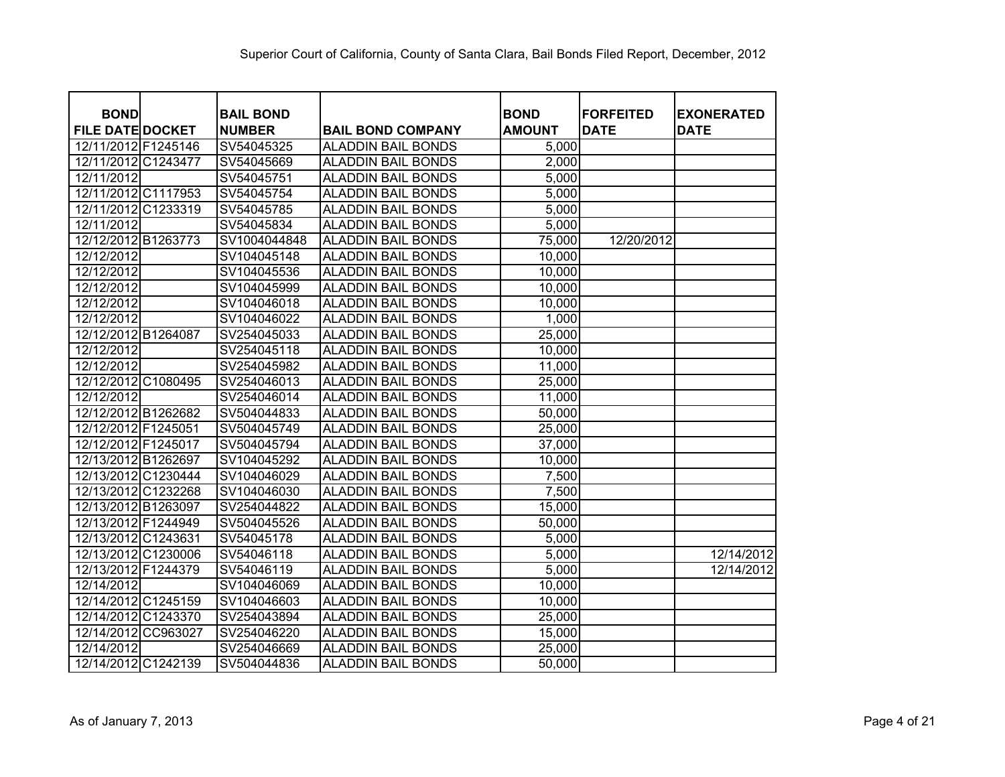|                                        | <b>BAIL BOND</b> |                                                       |                              |                                 |                                  |
|----------------------------------------|------------------|-------------------------------------------------------|------------------------------|---------------------------------|----------------------------------|
| <b>BOND</b><br><b>FILE DATE DOCKET</b> | <b>NUMBER</b>    |                                                       | <b>BOND</b><br><b>AMOUNT</b> | <b>FORFEITED</b><br><b>DATE</b> | <b>EXONERATED</b><br><b>DATE</b> |
| 12/11/2012 F1245146                    | SV54045325       | <b>BAIL BOND COMPANY</b><br><b>ALADDIN BAIL BONDS</b> | 5,000                        |                                 |                                  |
| 12/11/2012 C1243477                    | SV54045669       | <b>ALADDIN BAIL BONDS</b>                             | 2,000                        |                                 |                                  |
| 12/11/2012                             | SV54045751       | <b>ALADDIN BAIL BONDS</b>                             | 5,000                        |                                 |                                  |
| 12/11/2012 C1117953                    | SV54045754       | <b>ALADDIN BAIL BONDS</b>                             | 5,000                        |                                 |                                  |
| 12/11/2012 C1233319                    | SV54045785       | <b>ALADDIN BAIL BONDS</b>                             | 5,000                        |                                 |                                  |
| 12/11/2012                             | SV54045834       | <b>ALADDIN BAIL BONDS</b>                             | 5,000                        |                                 |                                  |
| 12/12/2012 B1263773                    | SV1004044848     | <b>ALADDIN BAIL BONDS</b>                             | 75,000                       | 12/20/2012                      |                                  |
| 12/12/2012                             | SV104045148      | <b>ALADDIN BAIL BONDS</b>                             | 10,000                       |                                 |                                  |
| 12/12/2012                             | SV104045536      | <b>ALADDIN BAIL BONDS</b>                             | 10,000                       |                                 |                                  |
| 12/12/2012                             | SV104045999      | <b>ALADDIN BAIL BONDS</b>                             | 10,000                       |                                 |                                  |
| 12/12/2012                             | SV104046018      | <b>ALADDIN BAIL BONDS</b>                             | 10,000                       |                                 |                                  |
| 12/12/2012                             | SV104046022      | <b>ALADDIN BAIL BONDS</b>                             | 1,000                        |                                 |                                  |
| 12/12/2012 B1264087                    | SV254045033      | <b>ALADDIN BAIL BONDS</b>                             | 25,000                       |                                 |                                  |
| 12/12/2012                             | SV254045118      | <b>ALADDIN BAIL BONDS</b>                             | 10,000                       |                                 |                                  |
| 12/12/2012                             | SV254045982      | <b>ALADDIN BAIL BONDS</b>                             | 11,000                       |                                 |                                  |
| 12/12/2012 C1080495                    | SV254046013      | <b>ALADDIN BAIL BONDS</b>                             | 25,000                       |                                 |                                  |
| 12/12/2012                             | SV254046014      | <b>ALADDIN BAIL BONDS</b>                             | 11,000                       |                                 |                                  |
| 12/12/2012 B1262682                    | SV504044833      | <b>ALADDIN BAIL BONDS</b>                             | 50,000                       |                                 |                                  |
| 12/12/2012 F1245051                    | SV504045749      | <b>ALADDIN BAIL BONDS</b>                             | 25,000                       |                                 |                                  |
| 12/12/2012 F1245017                    | SV504045794      | <b>ALADDIN BAIL BONDS</b>                             | 37,000                       |                                 |                                  |
| 12/13/2012 B1262697                    | SV104045292      | <b>ALADDIN BAIL BONDS</b>                             | 10,000                       |                                 |                                  |
| 12/13/2012 C1230444                    | SV104046029      | <b>ALADDIN BAIL BONDS</b>                             | 7,500                        |                                 |                                  |
| 12/13/2012 C1232268                    | SV104046030      | <b>ALADDIN BAIL BONDS</b>                             | 7,500                        |                                 |                                  |
| 12/13/2012 B1263097                    | SV254044822      | <b>ALADDIN BAIL BONDS</b>                             | 15,000                       |                                 |                                  |
| 12/13/2012 F1244949                    | SV504045526      | <b>ALADDIN BAIL BONDS</b>                             | 50,000                       |                                 |                                  |
| 12/13/2012 C1243631                    | SV54045178       | <b>ALADDIN BAIL BONDS</b>                             | 5,000                        |                                 |                                  |
| 12/13/2012 C1230006                    | SV54046118       | <b>ALADDIN BAIL BONDS</b>                             | 5,000                        |                                 | 12/14/2012                       |
| 12/13/2012 F1244379                    | SV54046119       | <b>ALADDIN BAIL BONDS</b>                             | 5,000                        |                                 | 12/14/2012                       |
| 12/14/2012                             | SV104046069      | <b>ALADDIN BAIL BONDS</b>                             | 10,000                       |                                 |                                  |
| 12/14/2012 C1245159                    | SV104046603      | <b>ALADDIN BAIL BONDS</b>                             | 10,000                       |                                 |                                  |
| 12/14/2012 C1243370                    | SV254043894      | <b>ALADDIN BAIL BONDS</b>                             | 25,000                       |                                 |                                  |
| 12/14/2012 CC963027                    | SV254046220      | <b>ALADDIN BAIL BONDS</b>                             | 15,000                       |                                 |                                  |
| 12/14/2012                             | SV254046669      | <b>ALADDIN BAIL BONDS</b>                             | 25,000                       |                                 |                                  |
| 12/14/2012 C1242139                    | SV504044836      | <b>ALADDIN BAIL BONDS</b>                             | 50,000                       |                                 |                                  |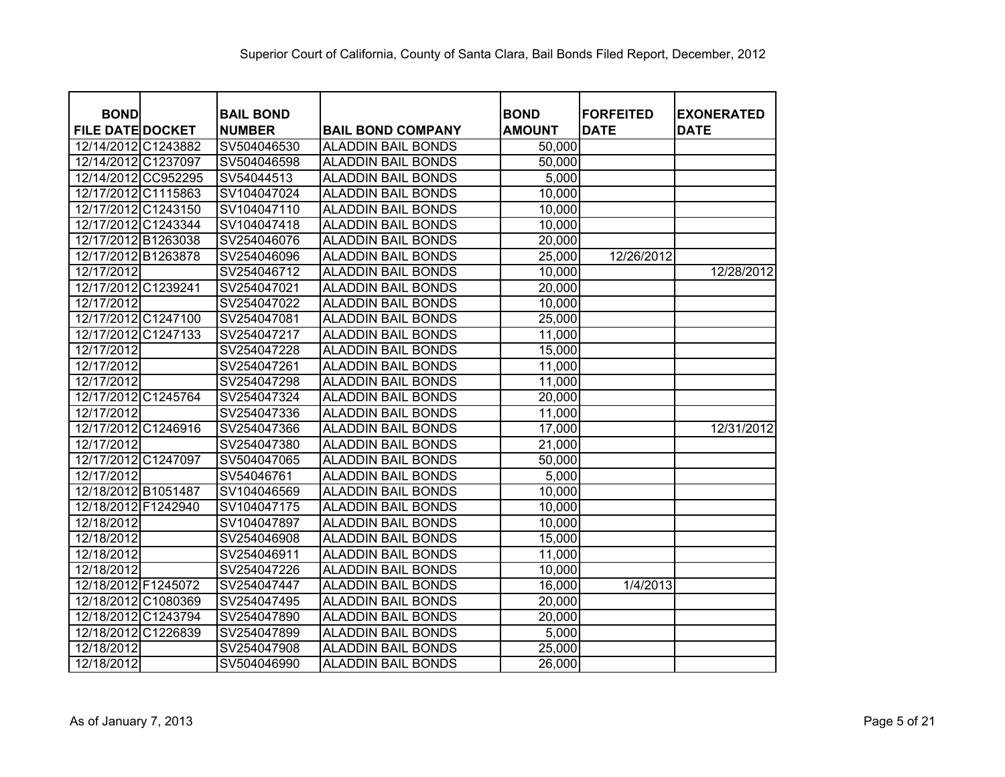| <b>BOND</b>             | <b>BAIL BOND</b> |                           | <b>BOND</b>   | <b>FORFEITED</b> | <b>EXONERATED</b> |
|-------------------------|------------------|---------------------------|---------------|------------------|-------------------|
| <b>FILE DATE DOCKET</b> | <b>NUMBER</b>    | <b>BAIL BOND COMPANY</b>  | <b>AMOUNT</b> | <b>DATE</b>      | <b>DATE</b>       |
| 12/14/2012 C1243882     | SV504046530      | <b>ALADDIN BAIL BONDS</b> | 50,000        |                  |                   |
| 12/14/2012 C1237097     | SV504046598      | <b>ALADDIN BAIL BONDS</b> | 50,000        |                  |                   |
| 12/14/2012 CC952295     | SV54044513       | <b>ALADDIN BAIL BONDS</b> | 5,000         |                  |                   |
| 12/17/2012 C1115863     | SV104047024      | <b>ALADDIN BAIL BONDS</b> | 10,000        |                  |                   |
| 12/17/2012 C1243150     | SV104047110      | <b>ALADDIN BAIL BONDS</b> | 10,000        |                  |                   |
| 12/17/2012 C1243344     | SV104047418      | <b>ALADDIN BAIL BONDS</b> | 10,000        |                  |                   |
| 12/17/2012 B1263038     | SV254046076      | <b>ALADDIN BAIL BONDS</b> | 20,000        |                  |                   |
| 12/17/2012 B1263878     | SV254046096      | <b>ALADDIN BAIL BONDS</b> | 25,000        | 12/26/2012       |                   |
| 12/17/2012              | SV254046712      | <b>ALADDIN BAIL BONDS</b> | 10,000        |                  | 12/28/2012        |
| 12/17/2012 C1239241     | SV254047021      | <b>ALADDIN BAIL BONDS</b> | 20,000        |                  |                   |
| 12/17/2012              | SV254047022      | <b>ALADDIN BAIL BONDS</b> | 10,000        |                  |                   |
| 12/17/2012 C1247100     | SV254047081      | <b>ALADDIN BAIL BONDS</b> | 25,000        |                  |                   |
| 12/17/2012 C1247133     | SV254047217      | <b>ALADDIN BAIL BONDS</b> | 11,000        |                  |                   |
| 12/17/2012              | SV254047228      | <b>ALADDIN BAIL BONDS</b> | 15,000        |                  |                   |
| 12/17/2012              | SV254047261      | <b>ALADDIN BAIL BONDS</b> | 11,000        |                  |                   |
| 12/17/2012              | SV254047298      | <b>ALADDIN BAIL BONDS</b> | 11,000        |                  |                   |
| 12/17/2012 C1245764     | SV254047324      | <b>ALADDIN BAIL BONDS</b> | 20,000        |                  |                   |
| 12/17/2012              | SV254047336      | <b>ALADDIN BAIL BONDS</b> | 11,000        |                  |                   |
| 12/17/2012 C1246916     | SV254047366      | <b>ALADDIN BAIL BONDS</b> | 17,000        |                  | 12/31/2012        |
| 12/17/2012              | SV254047380      | <b>ALADDIN BAIL BONDS</b> | 21,000        |                  |                   |
| 12/17/2012 C1247097     | SV504047065      | <b>ALADDIN BAIL BONDS</b> | 50,000        |                  |                   |
| 12/17/2012              | SV54046761       | <b>ALADDIN BAIL BONDS</b> | 5,000         |                  |                   |
| 12/18/2012 B1051487     | SV104046569      | <b>ALADDIN BAIL BONDS</b> | 10,000        |                  |                   |
| 12/18/2012 F1242940     | SV104047175      | <b>ALADDIN BAIL BONDS</b> | 10,000        |                  |                   |
| 12/18/2012              | SV104047897      | <b>ALADDIN BAIL BONDS</b> | 10,000        |                  |                   |
| 12/18/2012              | SV254046908      | <b>ALADDIN BAIL BONDS</b> | 15,000        |                  |                   |
| 12/18/2012              | SV254046911      | <b>ALADDIN BAIL BONDS</b> | 11,000        |                  |                   |
| 12/18/2012              | SV254047226      | <b>ALADDIN BAIL BONDS</b> | 10,000        |                  |                   |
| 12/18/2012 F1245072     | SV254047447      | <b>ALADDIN BAIL BONDS</b> | 16,000        | 1/4/2013         |                   |
| 12/18/2012 C1080369     | SV254047495      | <b>ALADDIN BAIL BONDS</b> | 20,000        |                  |                   |
| 12/18/2012 C1243794     | SV254047890      | <b>ALADDIN BAIL BONDS</b> | 20,000        |                  |                   |
| 12/18/2012 C1226839     | SV254047899      | <b>ALADDIN BAIL BONDS</b> | 5,000         |                  |                   |
| 12/18/2012              | SV254047908      | <b>ALADDIN BAIL BONDS</b> | 25,000        |                  |                   |
| 12/18/2012              | SV504046990      | <b>ALADDIN BAIL BONDS</b> | 26,000        |                  |                   |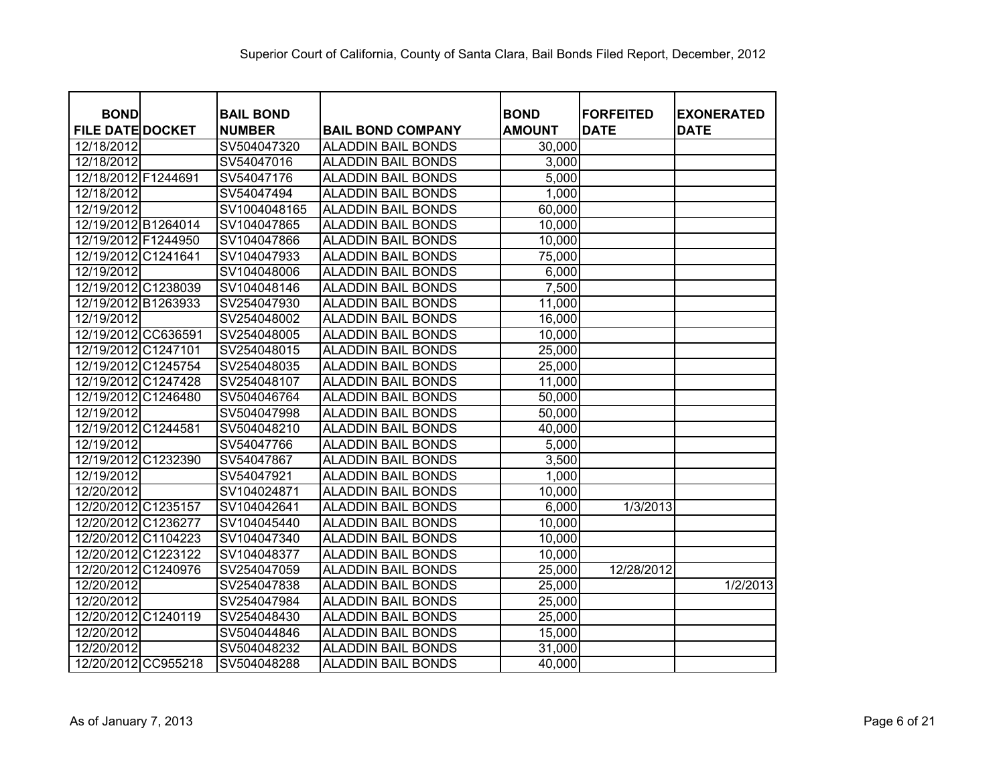| <b>BOND</b>             |          | <b>BAIL BOND</b> |                           | <b>BOND</b>   | <b>FORFEITED</b> | <b>EXONERATED</b> |
|-------------------------|----------|------------------|---------------------------|---------------|------------------|-------------------|
| <b>FILE DATE DOCKET</b> |          | <b>NUMBER</b>    | <b>BAIL BOND COMPANY</b>  | <b>AMOUNT</b> | <b>DATE</b>      | <b>DATE</b>       |
| 12/18/2012              |          | SV504047320      | ALADDIN BAIL BONDS        | 30,000        |                  |                   |
| 12/18/2012              |          | SV54047016       | ALADDIN BAIL BONDS        | 3,000         |                  |                   |
| 12/18/2012 F1244691     |          | SV54047176       | <b>ALADDIN BAIL BONDS</b> | 5,000         |                  |                   |
| 12/18/2012              |          | SV54047494       | <b>ALADDIN BAIL BONDS</b> | 1,000         |                  |                   |
| 12/19/2012              |          | SV1004048165     | <b>ALADDIN BAIL BONDS</b> | 60,000        |                  |                   |
| 12/19/2012 B1264014     |          | SV104047865      | <b>ALADDIN BAIL BONDS</b> | 10,000        |                  |                   |
| 12/19/2012 F1244950     |          | SV104047866      | <b>ALADDIN BAIL BONDS</b> | 10,000        |                  |                   |
| 12/19/2012 C1241641     |          | SV104047933      | <b>ALADDIN BAIL BONDS</b> | 75,000        |                  |                   |
| 12/19/2012              |          | SV104048006      | <b>ALADDIN BAIL BONDS</b> | 6,000         |                  |                   |
| 12/19/2012 C1238039     |          | SV104048146      | <b>ALADDIN BAIL BONDS</b> | 7,500         |                  |                   |
| 12/19/2012 B1263933     |          | SV254047930      | <b>ALADDIN BAIL BONDS</b> | 11,000        |                  |                   |
| 12/19/2012              |          | SV254048002      | <b>ALADDIN BAIL BONDS</b> | 16,000        |                  |                   |
| 12/19/2012 CC636591     |          | SV254048005      | <b>ALADDIN BAIL BONDS</b> | 10,000        |                  |                   |
| 12/19/2012 C1247101     |          | SV254048015      | <b>ALADDIN BAIL BONDS</b> | 25,000        |                  |                   |
| 12/19/2012 C1245754     |          | SV254048035      | <b>ALADDIN BAIL BONDS</b> | 25,000        |                  |                   |
| 12/19/2012 C1247428     |          | SV254048107      | <b>ALADDIN BAIL BONDS</b> | 11,000        |                  |                   |
| 12/19/2012              | C1246480 | SV504046764      | <b>ALADDIN BAIL BONDS</b> | 50,000        |                  |                   |
| 12/19/2012              |          | SV504047998      | <b>ALADDIN BAIL BONDS</b> | 50,000        |                  |                   |
| 12/19/2012 C1244581     |          | SV504048210      | <b>ALADDIN BAIL BONDS</b> | 40,000        |                  |                   |
| 12/19/2012              |          | SV54047766       | <b>ALADDIN BAIL BONDS</b> | 5,000         |                  |                   |
| 12/19/2012 C1232390     |          | SV54047867       | <b>ALADDIN BAIL BONDS</b> | 3,500         |                  |                   |
| 12/19/2012              |          | SV54047921       | <b>ALADDIN BAIL BONDS</b> | 1,000         |                  |                   |
| 12/20/2012              |          | SV104024871      | <b>ALADDIN BAIL BONDS</b> | 10,000        |                  |                   |
| 12/20/2012 C1235157     |          | SV104042641      | ALADDIN BAIL BONDS        | 6,000         | 1/3/2013         |                   |
| 12/20/2012 C1236277     |          | SV104045440      | <b>ALADDIN BAIL BONDS</b> | 10,000        |                  |                   |
| 12/20/2012              | C1104223 | SV104047340      | ALADDIN BAIL BONDS        | 10,000        |                  |                   |
| 12/20/2012 C1223122     |          | SV104048377      | <b>ALADDIN BAIL BONDS</b> | 10,000        |                  |                   |
| 12/20/2012              | C1240976 | SV254047059      | ALADDIN BAIL BONDS        | 25,000        | 12/28/2012       |                   |
| 12/20/2012              |          | SV254047838      | <b>ALADDIN BAIL BONDS</b> | 25,000        |                  | 1/2/2013          |
| 12/20/2012              |          | SV254047984      | <b>ALADDIN BAIL BONDS</b> | 25,000        |                  |                   |
| 12/20/2012 C1240119     |          | SV254048430      | <b>ALADDIN BAIL BONDS</b> | 25,000        |                  |                   |
| 12/20/2012              |          | SV504044846      | <b>ALADDIN BAIL BONDS</b> | 15,000        |                  |                   |
| 12/20/2012              |          | SV504048232      | <b>ALADDIN BAIL BONDS</b> | 31,000        |                  |                   |
| 12/20/2012 CC955218     |          | SV504048288      | <b>ALADDIN BAIL BONDS</b> | 40,000        |                  |                   |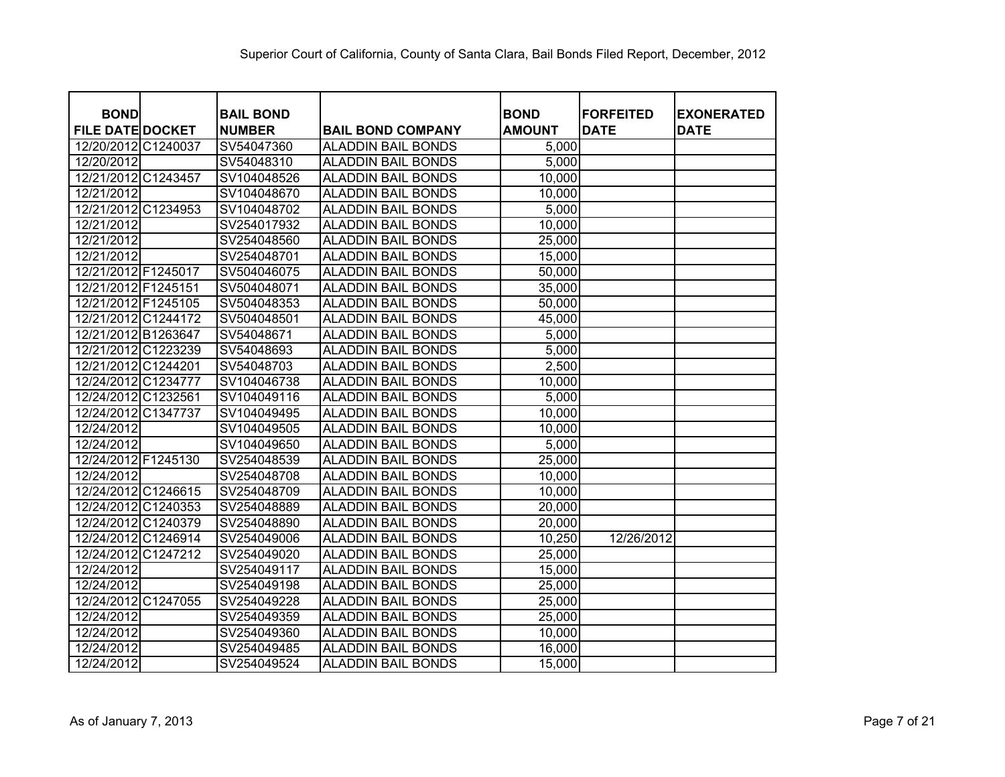| <b>BOND</b>             | <b>BAIL BOND</b> |                           | <b>BOND</b>   | <b>FORFEITED</b> | <b>EXONERATED</b> |
|-------------------------|------------------|---------------------------|---------------|------------------|-------------------|
| <b>FILE DATE DOCKET</b> | <b>NUMBER</b>    | <b>BAIL BOND COMPANY</b>  | <b>AMOUNT</b> | <b>DATE</b>      | <b>DATE</b>       |
| 12/20/2012 C1240037     | SV54047360       | <b>ALADDIN BAIL BONDS</b> | 5,000         |                  |                   |
| 12/20/2012              | SV54048310       | <b>ALADDIN BAIL BONDS</b> | 5,000         |                  |                   |
| 12/21/2012 C1243457     | SV104048526      | <b>ALADDIN BAIL BONDS</b> | 10,000        |                  |                   |
| 12/21/2012              | SV104048670      | <b>ALADDIN BAIL BONDS</b> | 10,000        |                  |                   |
| 12/21/2012 C1234953     | SV104048702      | <b>ALADDIN BAIL BONDS</b> | 5,000         |                  |                   |
| 12/21/2012              | SV254017932      | <b>ALADDIN BAIL BONDS</b> | 10,000        |                  |                   |
| 12/21/2012              | SV254048560      | <b>ALADDIN BAIL BONDS</b> | 25,000        |                  |                   |
| 12/21/2012              | SV254048701      | <b>ALADDIN BAIL BONDS</b> | 15,000        |                  |                   |
| 12/21/2012 F1245017     | SV504046075      | <b>ALADDIN BAIL BONDS</b> | 50,000        |                  |                   |
| 12/21/2012 F1245151     | SV504048071      | <b>ALADDIN BAIL BONDS</b> | 35,000        |                  |                   |
| 12/21/2012 F1245105     | SV504048353      | <b>ALADDIN BAIL BONDS</b> | 50,000        |                  |                   |
| 12/21/2012 C1244172     | SV504048501      | <b>ALADDIN BAIL BONDS</b> | 45,000        |                  |                   |
| 12/21/2012 B1263647     | SV54048671       | <b>ALADDIN BAIL BONDS</b> | 5,000         |                  |                   |
| 12/21/2012 C1223239     | SV54048693       | <b>ALADDIN BAIL BONDS</b> | 5,000         |                  |                   |
| 12/21/2012 C1244201     | SV54048703       | <b>ALADDIN BAIL BONDS</b> | 2,500         |                  |                   |
| 12/24/2012 C1234777     | SV104046738      | <b>ALADDIN BAIL BONDS</b> | 10,000        |                  |                   |
| 12/24/2012 C1232561     | SV104049116      | <b>ALADDIN BAIL BONDS</b> | 5,000         |                  |                   |
| 12/24/2012 C1347737     | SV104049495      | <b>ALADDIN BAIL BONDS</b> | 10,000        |                  |                   |
| 12/24/2012              | SV104049505      | <b>ALADDIN BAIL BONDS</b> | 10,000        |                  |                   |
| 12/24/2012              | SV104049650      | <b>ALADDIN BAIL BONDS</b> | 5,000         |                  |                   |
| 12/24/2012 F1245130     | SV254048539      | <b>ALADDIN BAIL BONDS</b> | 25,000        |                  |                   |
| 12/24/2012              | SV254048708      | <b>ALADDIN BAIL BONDS</b> | 10,000        |                  |                   |
| 12/24/2012 C1246615     | SV254048709      | <b>ALADDIN BAIL BONDS</b> | 10,000        |                  |                   |
| 12/24/2012 C1240353     | SV254048889      | <b>ALADDIN BAIL BONDS</b> | 20,000        |                  |                   |
| 12/24/2012 C1240379     | SV254048890      | <b>ALADDIN BAIL BONDS</b> | 20,000        |                  |                   |
| 12/24/2012 C1246914     | SV254049006      | <b>ALADDIN BAIL BONDS</b> | 10,250        | 12/26/2012       |                   |
| 12/24/2012 C1247212     | SV254049020      | <b>ALADDIN BAIL BONDS</b> | 25,000        |                  |                   |
| 12/24/2012              | SV254049117      | <b>ALADDIN BAIL BONDS</b> | 15,000        |                  |                   |
| 12/24/2012              | SV254049198      | <b>ALADDIN BAIL BONDS</b> | 25,000        |                  |                   |
| 12/24/2012 C1247055     | SV254049228      | <b>ALADDIN BAIL BONDS</b> | 25,000        |                  |                   |
| 12/24/2012              | SV254049359      | <b>ALADDIN BAIL BONDS</b> | 25,000        |                  |                   |
| 12/24/2012              | SV254049360      | <b>ALADDIN BAIL BONDS</b> | 10,000        |                  |                   |
| 12/24/2012              | SV254049485      | <b>ALADDIN BAIL BONDS</b> | 16,000        |                  |                   |
| 12/24/2012              | SV254049524      | <b>ALADDIN BAIL BONDS</b> | 15,000        |                  |                   |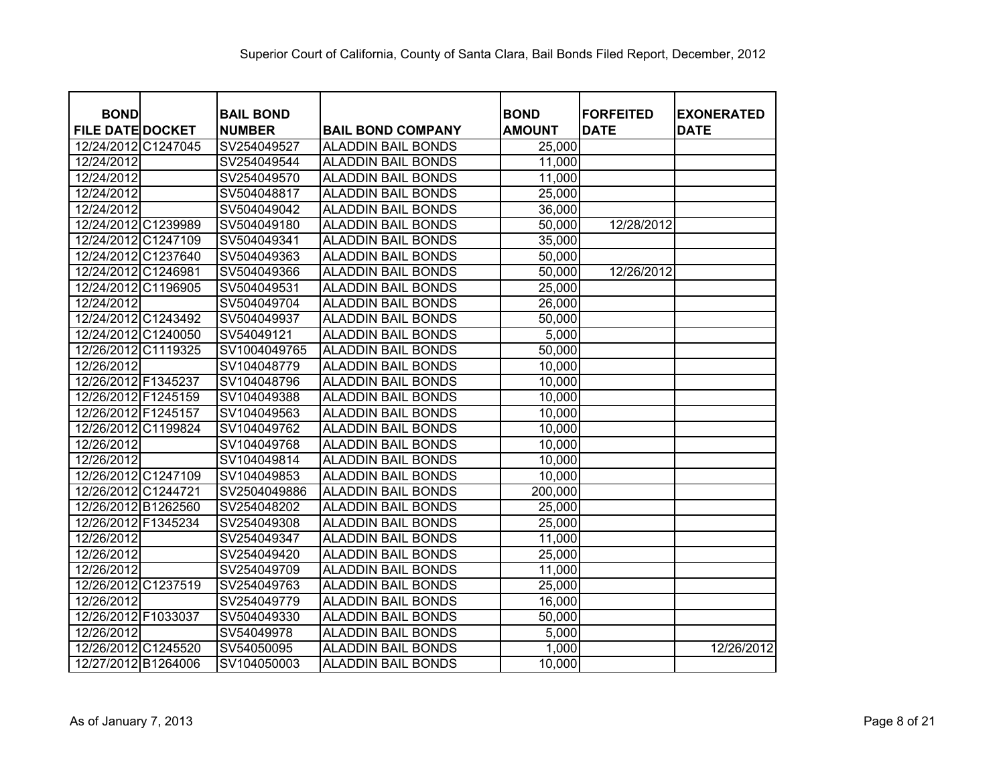| <b>BOND</b>             |          | <b>BAIL BOND</b> |                           | <b>BOND</b>   | <b>FORFEITED</b> | <b>EXONERATED</b> |
|-------------------------|----------|------------------|---------------------------|---------------|------------------|-------------------|
| <b>FILE DATE DOCKET</b> |          | <b>NUMBER</b>    | <b>BAIL BOND COMPANY</b>  | <b>AMOUNT</b> | <b>DATE</b>      | <b>DATE</b>       |
| 12/24/2012 C1247045     |          | SV254049527      | <b>ALADDIN BAIL BONDS</b> | 25,000        |                  |                   |
| 12/24/2012              |          | SV254049544      | <b>ALADDIN BAIL BONDS</b> | 11,000        |                  |                   |
| 12/24/2012              |          | SV254049570      | <b>ALADDIN BAIL BONDS</b> | 11,000        |                  |                   |
| 12/24/2012              |          | SV504048817      | <b>ALADDIN BAIL BONDS</b> | 25,000        |                  |                   |
| 12/24/2012              |          | SV504049042      | <b>ALADDIN BAIL BONDS</b> | 36,000        |                  |                   |
| 12/24/2012 C1239989     |          | SV504049180      | <b>ALADDIN BAIL BONDS</b> | 50,000        | 12/28/2012       |                   |
| 12/24/2012 C1247109     |          | SV504049341      | <b>ALADDIN BAIL BONDS</b> | 35,000        |                  |                   |
| 12/24/2012 C1237640     |          | SV504049363      | <b>ALADDIN BAIL BONDS</b> | 50,000        |                  |                   |
| 12/24/2012 C1246981     |          | SV504049366      | <b>ALADDIN BAIL BONDS</b> | 50,000        | 12/26/2012       |                   |
| 12/24/2012 C1196905     |          | SV504049531      | <b>ALADDIN BAIL BONDS</b> | 25,000        |                  |                   |
| 12/24/2012              |          | SV504049704      | <b>ALADDIN BAIL BONDS</b> | 26,000        |                  |                   |
| 12/24/2012 C1243492     |          | SV504049937      | <b>ALADDIN BAIL BONDS</b> | 50,000        |                  |                   |
| 12/24/2012 C1240050     |          | SV54049121       | <b>ALADDIN BAIL BONDS</b> | 5,000         |                  |                   |
| 12/26/2012 C1119325     |          | SV1004049765     | <b>ALADDIN BAIL BONDS</b> | 50,000        |                  |                   |
| 12/26/2012              |          | SV104048779      | <b>ALADDIN BAIL BONDS</b> | 10,000        |                  |                   |
| 12/26/2012 F1345237     |          | SV104048796      | <b>ALADDIN BAIL BONDS</b> | 10,000        |                  |                   |
| 12/26/2012 F1245159     |          | SV104049388      | <b>ALADDIN BAIL BONDS</b> | 10,000        |                  |                   |
| 12/26/2012 F1245157     |          | SV104049563      | <b>ALADDIN BAIL BONDS</b> | 10,000        |                  |                   |
| 12/26/2012 C1199824     |          | SV104049762      | <b>ALADDIN BAIL BONDS</b> | 10,000        |                  |                   |
| 12/26/2012              |          | SV104049768      | <b>ALADDIN BAIL BONDS</b> | 10,000        |                  |                   |
| 12/26/2012              |          | SV104049814      | <b>ALADDIN BAIL BONDS</b> | 10,000        |                  |                   |
| 12/26/2012 C1247109     |          | SV104049853      | <b>ALADDIN BAIL BONDS</b> | 10,000        |                  |                   |
| 12/26/2012 C1244721     |          | SV2504049886     | <b>ALADDIN BAIL BONDS</b> | 200,000       |                  |                   |
| 12/26/2012 B1262560     |          | SV254048202      | <b>ALADDIN BAIL BONDS</b> | 25,000        |                  |                   |
| 12/26/2012 F1345234     |          | SV254049308      | <b>ALADDIN BAIL BONDS</b> | 25,000        |                  |                   |
| 12/26/2012              |          | SV254049347      | <b>ALADDIN BAIL BONDS</b> | 11,000        |                  |                   |
| 12/26/2012              |          | SV254049420      | <b>ALADDIN BAIL BONDS</b> | 25,000        |                  |                   |
| 12/26/2012              |          | SV254049709      | <b>ALADDIN BAIL BONDS</b> | 11,000        |                  |                   |
| 12/26/2012              | C1237519 | SV254049763      | <b>ALADDIN BAIL BONDS</b> | 25,000        |                  |                   |
| 12/26/2012              |          | SV254049779      | <b>ALADDIN BAIL BONDS</b> | 16,000        |                  |                   |
| 12/26/2012 F1033037     |          | SV504049330      | <b>ALADDIN BAIL BONDS</b> | 50,000        |                  |                   |
| 12/26/2012              |          | SV54049978       | <b>ALADDIN BAIL BONDS</b> | 5,000         |                  |                   |
| 12/26/2012 C1245520     |          | SV54050095       | <b>ALADDIN BAIL BONDS</b> | 1,000         |                  | 12/26/2012        |
| 12/27/2012 B1264006     |          | SV104050003      | <b>ALADDIN BAIL BONDS</b> | 10,000        |                  |                   |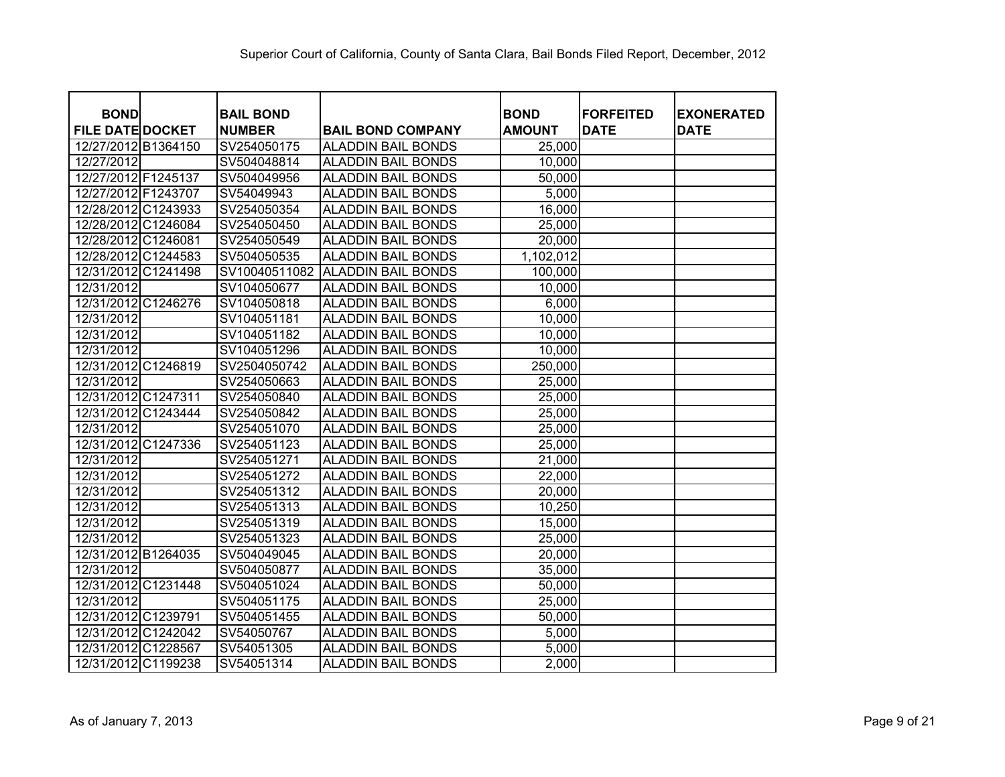| <b>BOND</b><br><b>FILE DATE DOCKET</b> | <b>BAIL BOND</b><br><b>NUMBER</b> | <b>BAIL BOND COMPANY</b>  | <b>BOND</b><br><b>AMOUNT</b> | <b>FORFEITED</b><br><b>DATE</b> | <b>EXONERATED</b><br><b>DATE</b> |
|----------------------------------------|-----------------------------------|---------------------------|------------------------------|---------------------------------|----------------------------------|
| 12/27/2012 B1364150                    | SV254050175                       | <b>ALADDIN BAIL BONDS</b> | 25,000                       |                                 |                                  |
| 12/27/2012                             | SV504048814                       | <b>ALADDIN BAIL BONDS</b> | 10,000                       |                                 |                                  |
| 12/27/2012 F1245137                    | SV504049956                       | <b>ALADDIN BAIL BONDS</b> | 50,000                       |                                 |                                  |
| 12/27/2012 F1243707                    | SV54049943                        | <b>ALADDIN BAIL BONDS</b> | 5,000                        |                                 |                                  |
| 12/28/2012 C1243933                    | SV254050354                       | <b>ALADDIN BAIL BONDS</b> | 16,000                       |                                 |                                  |
| 12/28/2012 C1246084                    | SV254050450                       | <b>ALADDIN BAIL BONDS</b> | 25,000                       |                                 |                                  |
| 12/28/2012 C1246081                    | SV254050549                       | <b>ALADDIN BAIL BONDS</b> | 20,000                       |                                 |                                  |
| 12/28/2012 C1244583                    | SV504050535                       | <b>ALADDIN BAIL BONDS</b> | 1,102,012                    |                                 |                                  |
| 12/31/2012 C1241498                    | SV10040511082                     | <b>ALADDIN BAIL BONDS</b> | 100,000                      |                                 |                                  |
| 12/31/2012                             | SV104050677                       | <b>ALADDIN BAIL BONDS</b> | 10,000                       |                                 |                                  |
| 12/31/2012 C1246276                    | SV104050818                       | <b>ALADDIN BAIL BONDS</b> | 6,000                        |                                 |                                  |
| 12/31/2012                             | SV104051181                       | <b>ALADDIN BAIL BONDS</b> | 10,000                       |                                 |                                  |
| 12/31/2012                             | SV104051182                       | <b>ALADDIN BAIL BONDS</b> | 10,000                       |                                 |                                  |
| 12/31/2012                             | SV104051296                       | <b>ALADDIN BAIL BONDS</b> | 10,000                       |                                 |                                  |
| 12/31/2012 C1246819                    | SV2504050742                      | <b>ALADDIN BAIL BONDS</b> | 250,000                      |                                 |                                  |
| 12/31/2012                             | SV254050663                       | <b>ALADDIN BAIL BONDS</b> | 25,000                       |                                 |                                  |
| 12/31/2012 C1247311                    | SV254050840                       | <b>ALADDIN BAIL BONDS</b> | 25,000                       |                                 |                                  |
| 12/31/2012 C1243444                    | SV254050842                       | <b>ALADDIN BAIL BONDS</b> | 25,000                       |                                 |                                  |
| 12/31/2012                             | SV254051070                       | <b>ALADDIN BAIL BONDS</b> | 25,000                       |                                 |                                  |
| 12/31/2012 C1247336                    | SV254051123                       | <b>ALADDIN BAIL BONDS</b> | 25,000                       |                                 |                                  |
| 12/31/2012                             | SV254051271                       | <b>ALADDIN BAIL BONDS</b> | 21,000                       |                                 |                                  |
| 12/31/2012                             | SV254051272                       | <b>ALADDIN BAIL BONDS</b> | 22,000                       |                                 |                                  |
| 12/31/2012                             | SV254051312                       | <b>ALADDIN BAIL BONDS</b> | 20,000                       |                                 |                                  |
| 12/31/2012                             | SV254051313                       | <b>ALADDIN BAIL BONDS</b> | 10,250                       |                                 |                                  |
| 12/31/2012                             | SV254051319                       | <b>ALADDIN BAIL BONDS</b> | 15,000                       |                                 |                                  |
| 12/31/2012                             | SV254051323                       | <b>ALADDIN BAIL BONDS</b> | 25,000                       |                                 |                                  |
| 12/31/2012 B1264035                    | SV504049045                       | <b>ALADDIN BAIL BONDS</b> | 20,000                       |                                 |                                  |
| 12/31/2012                             | SV504050877                       | <b>ALADDIN BAIL BONDS</b> | 35,000                       |                                 |                                  |
| 12/31/2012 C1231448                    | SV504051024                       | <b>ALADDIN BAIL BONDS</b> | 50,000                       |                                 |                                  |
| 12/31/2012                             | SV504051175                       | <b>ALADDIN BAIL BONDS</b> | 25,000                       |                                 |                                  |
| 12/31/2012 C1239791                    | SV504051455                       | <b>ALADDIN BAIL BONDS</b> | 50,000                       |                                 |                                  |
| 12/31/2012 C1242042                    | SV54050767                        | <b>ALADDIN BAIL BONDS</b> | 5,000                        |                                 |                                  |
| 12/31/2012 C1228567                    | SV54051305                        | <b>ALADDIN BAIL BONDS</b> | 5,000                        |                                 |                                  |
| 12/31/2012 C1199238                    | SV54051314                        | <b>ALADDIN BAIL BONDS</b> | 2,000                        |                                 |                                  |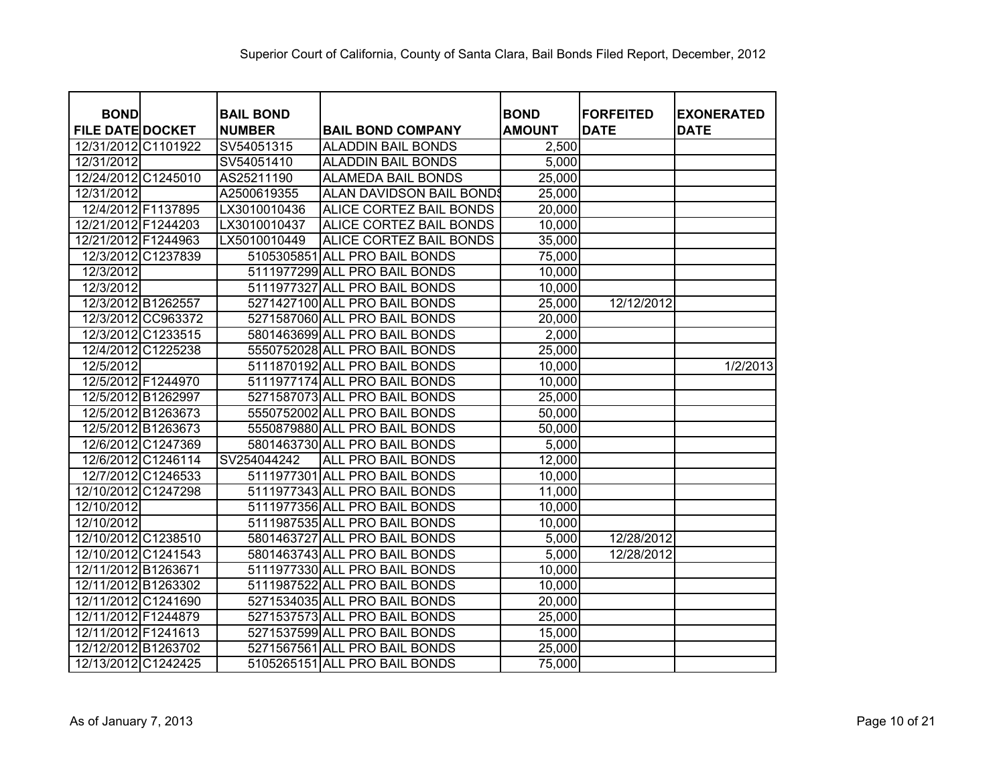|                                        |                    |                                   |                                |                              | <b>FORFEITED</b> |                                  |
|----------------------------------------|--------------------|-----------------------------------|--------------------------------|------------------------------|------------------|----------------------------------|
| <b>BOND</b><br><b>FILE DATE DOCKET</b> |                    | <b>BAIL BOND</b><br><b>NUMBER</b> | <b>BAIL BOND COMPANY</b>       | <b>BOND</b><br><b>AMOUNT</b> | <b>DATE</b>      | <b>EXONERATED</b><br><b>DATE</b> |
| 12/31/2012 C1101922                    |                    | SV54051315                        | <b>ALADDIN BAIL BONDS</b>      | 2,500                        |                  |                                  |
| 12/31/2012                             |                    | SV54051410                        | <b>ALADDIN BAIL BONDS</b>      | 5,000                        |                  |                                  |
| 12/24/2012 C1245010                    |                    | AS25211190                        | <b>ALAMEDA BAIL BONDS</b>      | 25,000                       |                  |                                  |
| 12/31/2012                             |                    | A2500619355                       | ALAN DAVIDSON BAIL BONDS       | 25,000                       |                  |                                  |
| 12/4/2012 F1137895                     |                    | LX3010010436                      | <b>ALICE CORTEZ BAIL BONDS</b> | 20,000                       |                  |                                  |
| 12/21/2012 F1244203                    |                    | LX3010010437                      | ALICE CORTEZ BAIL BONDS        | 10,000                       |                  |                                  |
| 12/21/2012 F1244963                    |                    | LX5010010449                      | ALICE CORTEZ BAIL BONDS        | 35,000                       |                  |                                  |
|                                        | 12/3/2012 C1237839 | 5105305851                        | ALL PRO BAIL BONDS             | 75,000                       |                  |                                  |
| 12/3/2012                              |                    |                                   | 5111977299 ALL PRO BAIL BONDS  | 10,000                       |                  |                                  |
| 12/3/2012                              |                    |                                   | 5111977327 ALL PRO BAIL BONDS  | 10,000                       |                  |                                  |
| 12/3/2012 B1262557                     |                    |                                   | 5271427100 ALL PRO BAIL BONDS  | 25,000                       | 12/12/2012       |                                  |
|                                        | 12/3/2012 CC963372 |                                   | 5271587060 ALL PRO BAIL BONDS  | 20,000                       |                  |                                  |
|                                        | 12/3/2012 C1233515 |                                   | 5801463699 ALL PRO BAIL BONDS  | 2,000                        |                  |                                  |
|                                        | 12/4/2012 C1225238 |                                   | 5550752028 ALL PRO BAIL BONDS  | 25,000                       |                  |                                  |
| 12/5/2012                              |                    |                                   | 5111870192 ALL PRO BAIL BONDS  | 10,000                       |                  | 1/2/2013                         |
| 12/5/2012 F1244970                     |                    |                                   | 5111977174 ALL PRO BAIL BONDS  | 10,000                       |                  |                                  |
|                                        | 12/5/2012 B1262997 |                                   | 5271587073 ALL PRO BAIL BONDS  | 25,000                       |                  |                                  |
|                                        | 12/5/2012 B1263673 |                                   | 5550752002 ALL PRO BAIL BONDS  | 50,000                       |                  |                                  |
|                                        | 12/5/2012 B1263673 |                                   | 5550879880 ALL PRO BAIL BONDS  | 50,000                       |                  |                                  |
|                                        | 12/6/2012 C1247369 |                                   | 5801463730 ALL PRO BAIL BONDS  | 5,000                        |                  |                                  |
|                                        | 12/6/2012 C1246114 | SV254044242                       | ALL PRO BAIL BONDS             | 12,000                       |                  |                                  |
|                                        | 12/7/2012 C1246533 |                                   | 5111977301 ALL PRO BAIL BONDS  | 10,000                       |                  |                                  |
| 12/10/2012 C1247298                    |                    |                                   | 5111977343 ALL PRO BAIL BONDS  | 11,000                       |                  |                                  |
| 12/10/2012                             |                    |                                   | 5111977356 ALL PRO BAIL BONDS  | 10,000                       |                  |                                  |
| 12/10/2012                             |                    |                                   | 5111987535 ALL PRO BAIL BONDS  | 10,000                       |                  |                                  |
| 12/10/2012 C1238510                    |                    |                                   | 5801463727 ALL PRO BAIL BONDS  | 5,000                        | 12/28/2012       |                                  |
| 12/10/2012 C1241543                    |                    |                                   | 5801463743 ALL PRO BAIL BONDS  | 5,000                        | 12/28/2012       |                                  |
| 12/11/2012 B1263671                    |                    |                                   | 5111977330 ALL PRO BAIL BONDS  | 10,000                       |                  |                                  |
| 12/11/2012 B1263302                    |                    |                                   | 5111987522 ALL PRO BAIL BONDS  | 10,000                       |                  |                                  |
| 12/11/2012 C1241690                    |                    |                                   | 5271534035 ALL PRO BAIL BONDS  | 20,000                       |                  |                                  |
| 12/11/2012 F1244879                    |                    |                                   | 5271537573 ALL PRO BAIL BONDS  | 25,000                       |                  |                                  |
| 12/11/2012 F1241613                    |                    |                                   | 5271537599 ALL PRO BAIL BONDS  | 15,000                       |                  |                                  |
| 12/12/2012 B1263702                    |                    |                                   | 5271567561 ALL PRO BAIL BONDS  | 25,000                       |                  |                                  |
| 12/13/2012 C1242425                    |                    |                                   | 5105265151 ALL PRO BAIL BONDS  | 75,000                       |                  |                                  |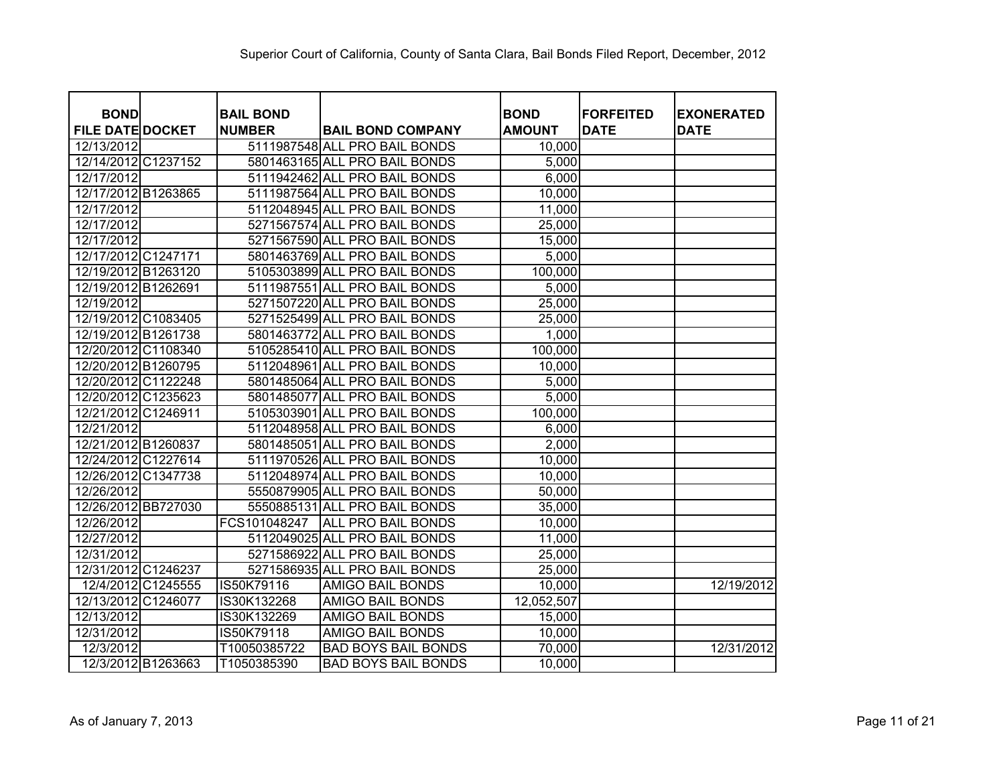| <b>BOND</b>             | <b>BAIL BOND</b> |                               | <b>BOND</b>   | <b>FORFEITED</b> | <b>EXONERATED</b> |
|-------------------------|------------------|-------------------------------|---------------|------------------|-------------------|
| <b>FILE DATE DOCKET</b> | <b>NUMBER</b>    | <b>BAIL BOND COMPANY</b>      | <b>AMOUNT</b> | <b>DATE</b>      | <b>DATE</b>       |
| 12/13/2012              |                  | 5111987548 ALL PRO BAIL BONDS | 10,000        |                  |                   |
| 12/14/2012 C1237152     |                  | 5801463165 ALL PRO BAIL BONDS | 5,000         |                  |                   |
| 12/17/2012              |                  | 5111942462 ALL PRO BAIL BONDS | 6,000         |                  |                   |
| 12/17/2012 B1263865     |                  | 5111987564 ALL PRO BAIL BONDS | 10,000        |                  |                   |
| 12/17/2012              |                  | 5112048945 ALL PRO BAIL BONDS | 11,000        |                  |                   |
| 12/17/2012              |                  | 5271567574 ALL PRO BAIL BONDS | 25,000        |                  |                   |
| 12/17/2012              |                  | 5271567590 ALL PRO BAIL BONDS | 15,000        |                  |                   |
| 12/17/2012 C1247171     |                  | 5801463769 ALL PRO BAIL BONDS | 5,000         |                  |                   |
| 12/19/2012 B1263120     |                  | 5105303899 ALL PRO BAIL BONDS | 100,000       |                  |                   |
| 12/19/2012 B1262691     |                  | 5111987551 ALL PRO BAIL BONDS | 5,000         |                  |                   |
| 12/19/2012              |                  | 5271507220 ALL PRO BAIL BONDS | 25,000        |                  |                   |
| 12/19/2012 C1083405     |                  | 5271525499 ALL PRO BAIL BONDS | 25,000        |                  |                   |
| 12/19/2012 B1261738     |                  | 5801463772 ALL PRO BAIL BONDS | 1,000         |                  |                   |
| 12/20/2012 C1108340     |                  | 5105285410 ALL PRO BAIL BONDS | 100,000       |                  |                   |
| 12/20/2012 B1260795     |                  | 5112048961 ALL PRO BAIL BONDS | 10,000        |                  |                   |
| 12/20/2012 C1122248     |                  | 5801485064 ALL PRO BAIL BONDS | 5,000         |                  |                   |
| 12/20/2012 C1235623     |                  | 5801485077 ALL PRO BAIL BONDS | 5,000         |                  |                   |
| 12/21/2012 C1246911     |                  | 5105303901 ALL PRO BAIL BONDS | 100,000       |                  |                   |
| 12/21/2012              |                  | 5112048958 ALL PRO BAIL BONDS | 6,000         |                  |                   |
| 12/21/2012 B1260837     |                  | 5801485051 ALL PRO BAIL BONDS | 2,000         |                  |                   |
| 12/24/2012 C1227614     |                  | 5111970526 ALL PRO BAIL BONDS | 10,000        |                  |                   |
| 12/26/2012 C1347738     |                  | 5112048974 ALL PRO BAIL BONDS | 10,000        |                  |                   |
| 12/26/2012              |                  | 5550879905 ALL PRO BAIL BONDS | 50,000        |                  |                   |
| 12/26/2012 BB727030     |                  | 5550885131 ALL PRO BAIL BONDS | 35,000        |                  |                   |
| 12/26/2012              | FCS101048247     | ALL PRO BAIL BONDS            | 10,000        |                  |                   |
| 12/27/2012              |                  | 5112049025 ALL PRO BAIL BONDS | 11,000        |                  |                   |
| 12/31/2012              |                  | 5271586922 ALL PRO BAIL BONDS | 25,000        |                  |                   |
| 12/31/2012 C1246237     |                  | 5271586935 ALL PRO BAIL BONDS | 25,000        |                  |                   |
| 12/4/2012 C1245555      | IS50K79116       | <b>AMIGO BAIL BONDS</b>       | 10,000        |                  | 12/19/2012        |
| 12/13/2012 C1246077     | IS30K132268      | <b>AMIGO BAIL BONDS</b>       | 12,052,507    |                  |                   |
| 12/13/2012              | IS30K132269      | <b>AMIGO BAIL BONDS</b>       | 15,000        |                  |                   |
| 12/31/2012              | IS50K79118       | <b>AMIGO BAIL BONDS</b>       | 10,000        |                  |                   |
| 12/3/2012               | T10050385722     | <b>BAD BOYS BAIL BONDS</b>    | 70,000        |                  | 12/31/2012        |
| 12/3/2012 B1263663      | T1050385390      | <b>BAD BOYS BAIL BONDS</b>    | 10,000        |                  |                   |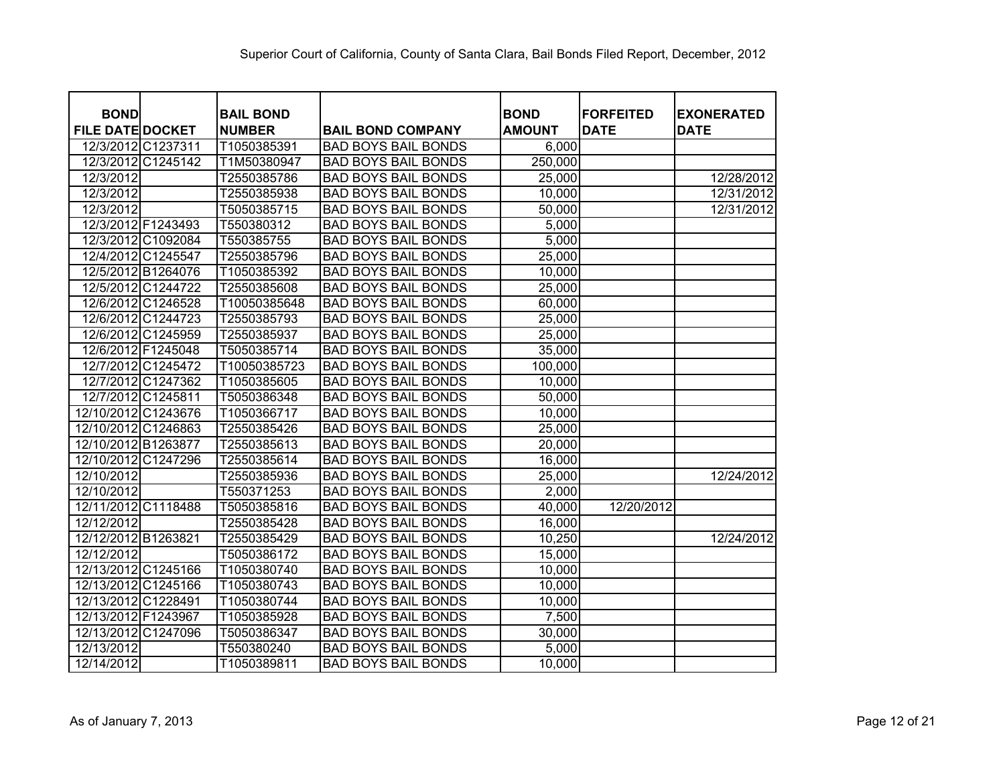| <b>BOND</b>             |                    | <b>BAIL BOND</b> |                            | <b>BOND</b>   | <b>FORFEITED</b> | <b>EXONERATED</b> |
|-------------------------|--------------------|------------------|----------------------------|---------------|------------------|-------------------|
| <b>FILE DATE DOCKET</b> |                    | <b>NUMBER</b>    | <b>BAIL BOND COMPANY</b>   | <b>AMOUNT</b> | <b>DATE</b>      | <b>DATE</b>       |
|                         | 12/3/2012 C1237311 | T1050385391      | <b>BAD BOYS BAIL BONDS</b> | 6,000         |                  |                   |
| 12/3/2012               | C1245142           | T1M50380947      | <b>BAD BOYS BAIL BONDS</b> | 250,000       |                  |                   |
| 12/3/2012               |                    | T2550385786      | <b>BAD BOYS BAIL BONDS</b> | 25,000        |                  | 12/28/2012        |
| 12/3/2012               |                    | T2550385938      | <b>BAD BOYS BAIL BONDS</b> | 10,000        |                  | 12/31/2012        |
| 12/3/2012               |                    | T5050385715      | <b>BAD BOYS BAIL BONDS</b> | 50,000        |                  | 12/31/2012        |
|                         | 12/3/2012 F1243493 | T550380312       | <b>BAD BOYS BAIL BONDS</b> | 5,000         |                  |                   |
|                         | 12/3/2012 C1092084 | T550385755       | <b>BAD BOYS BAIL BONDS</b> | 5,000         |                  |                   |
|                         | 12/4/2012 C1245547 | T2550385796      | <b>BAD BOYS BAIL BONDS</b> | 25,000        |                  |                   |
|                         | 12/5/2012 B1264076 | T1050385392      | <b>BAD BOYS BAIL BONDS</b> | 10,000        |                  |                   |
|                         | 12/5/2012 C1244722 | T2550385608      | <b>BAD BOYS BAIL BONDS</b> | 25,000        |                  |                   |
|                         | 12/6/2012 C1246528 | T10050385648     | <b>BAD BOYS BAIL BONDS</b> | 60,000        |                  |                   |
|                         | 12/6/2012 C1244723 | T2550385793      | <b>BAD BOYS BAIL BONDS</b> | 25,000        |                  |                   |
|                         | 12/6/2012 C1245959 | T2550385937      | <b>BAD BOYS BAIL BONDS</b> | 25,000        |                  |                   |
|                         | 12/6/2012 F1245048 | T5050385714      | <b>BAD BOYS BAIL BONDS</b> | 35,000        |                  |                   |
|                         | 12/7/2012 C1245472 | T10050385723     | <b>BAD BOYS BAIL BONDS</b> | 100,000       |                  |                   |
|                         | 12/7/2012 C1247362 | T1050385605      | <b>BAD BOYS BAIL BONDS</b> | 10,000        |                  |                   |
|                         | 12/7/2012 C1245811 | T5050386348      | <b>BAD BOYS BAIL BONDS</b> | 50,000        |                  |                   |
| 12/10/2012 C1243676     |                    | T1050366717      | <b>BAD BOYS BAIL BONDS</b> | 10,000        |                  |                   |
| 12/10/2012 C1246863     |                    | T2550385426      | <b>BAD BOYS BAIL BONDS</b> | 25,000        |                  |                   |
| 12/10/2012 B1263877     |                    | T2550385613      | <b>BAD BOYS BAIL BONDS</b> | 20,000        |                  |                   |
| 12/10/2012              | C1247296           | T2550385614      | <b>BAD BOYS BAIL BONDS</b> | 16,000        |                  |                   |
| 12/10/2012              |                    | T2550385936      | <b>BAD BOYS BAIL BONDS</b> | 25,000        |                  | 12/24/2012        |
| 12/10/2012              |                    | T550371253       | <b>BAD BOYS BAIL BONDS</b> | 2,000         |                  |                   |
| 12/11/2012              | C1118488           | T5050385816      | <b>BAD BOYS BAIL BONDS</b> | 40,000        | 12/20/2012       |                   |
| 12/12/2012              |                    | T2550385428      | <b>BAD BOYS BAIL BONDS</b> | 16,000        |                  |                   |
| 12/12/2012 B1263821     |                    | T2550385429      | <b>BAD BOYS BAIL BONDS</b> | 10,250        |                  | 12/24/2012        |
| 12/12/2012              |                    | T5050386172      | <b>BAD BOYS BAIL BONDS</b> | 15,000        |                  |                   |
| 12/13/2012 C1245166     |                    | T1050380740      | <b>BAD BOYS BAIL BONDS</b> | 10,000        |                  |                   |
| 12/13/2012 C1245166     |                    | T1050380743      | <b>BAD BOYS BAIL BONDS</b> | 10,000        |                  |                   |
| 12/13/2012 C1228491     |                    | T1050380744      | <b>BAD BOYS BAIL BONDS</b> | 10,000        |                  |                   |
| 12/13/2012 F1243967     |                    | T1050385928      | <b>BAD BOYS BAIL BONDS</b> | 7,500         |                  |                   |
| 12/13/2012              | C1247096           | T5050386347      | <b>BAD BOYS BAIL BONDS</b> | 30,000        |                  |                   |
| $\overline{12}/13/2012$ |                    | T550380240       | <b>BAD BOYS BAIL BONDS</b> | 5,000         |                  |                   |
| 12/14/2012              |                    | T1050389811      | <b>BAD BOYS BAIL BONDS</b> | 10,000        |                  |                   |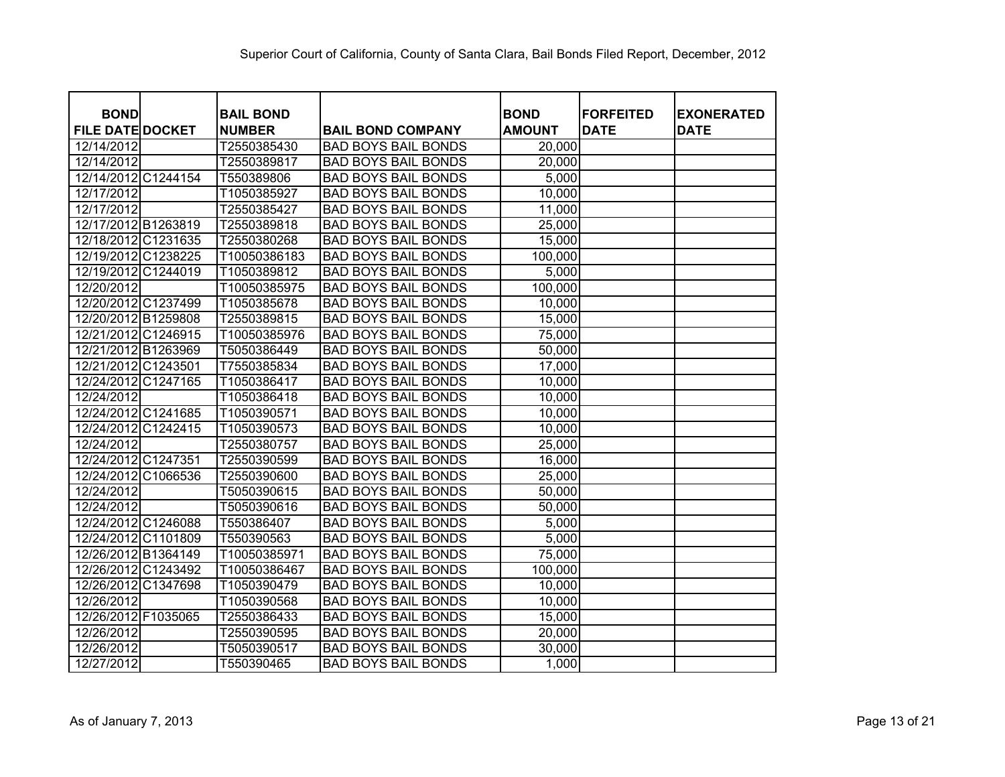| <b>BOND</b>             | <b>BAIL BOND</b> |                            | <b>BOND</b>   | <b>FORFEITED</b> | <b>EXONERATED</b> |
|-------------------------|------------------|----------------------------|---------------|------------------|-------------------|
| <b>FILE DATE DOCKET</b> | <b>NUMBER</b>    | <b>BAIL BOND COMPANY</b>   | <b>AMOUNT</b> | <b>DATE</b>      | <b>DATE</b>       |
| 12/14/2012              | T2550385430      | <b>BAD BOYS BAIL BONDS</b> | 20,000        |                  |                   |
| 12/14/2012              | T2550389817      | <b>BAD BOYS BAIL BONDS</b> | 20,000        |                  |                   |
| 12/14/2012 C1244154     | T550389806       | <b>BAD BOYS BAIL BONDS</b> | 5,000         |                  |                   |
| 12/17/2012              | T1050385927      | <b>BAD BOYS BAIL BONDS</b> | 10,000        |                  |                   |
| 12/17/2012              | T2550385427      | <b>BAD BOYS BAIL BONDS</b> | 11,000        |                  |                   |
| 12/17/2012 B1263819     | T2550389818      | <b>BAD BOYS BAIL BONDS</b> | 25,000        |                  |                   |
| 12/18/2012 C1231635     | T2550380268      | <b>BAD BOYS BAIL BONDS</b> | 15,000        |                  |                   |
| 12/19/2012 C1238225     | T10050386183     | <b>BAD BOYS BAIL BONDS</b> | 100,000       |                  |                   |
| 12/19/2012 C1244019     | T1050389812      | <b>BAD BOYS BAIL BONDS</b> | 5,000         |                  |                   |
| 12/20/2012              | T10050385975     | <b>BAD BOYS BAIL BONDS</b> | 100,000       |                  |                   |
| 12/20/2012 C1237499     | T1050385678      | <b>BAD BOYS BAIL BONDS</b> | 10,000        |                  |                   |
| 12/20/2012 B1259808     | T2550389815      | <b>BAD BOYS BAIL BONDS</b> | 15,000        |                  |                   |
| 12/21/2012 C1246915     | T10050385976     | <b>BAD BOYS BAIL BONDS</b> | 75,000        |                  |                   |
| 12/21/2012 B1263969     | T5050386449      | <b>BAD BOYS BAIL BONDS</b> | 50,000        |                  |                   |
| 12/21/2012 C1243501     | T7550385834      | <b>BAD BOYS BAIL BONDS</b> | 17,000        |                  |                   |
| 12/24/2012 C1247165     | T1050386417      | <b>BAD BOYS BAIL BONDS</b> | 10,000        |                  |                   |
| 12/24/2012              | T1050386418      | <b>BAD BOYS BAIL BONDS</b> | 10,000        |                  |                   |
| 12/24/2012 C1241685     | T1050390571      | <b>BAD BOYS BAIL BONDS</b> | 10,000        |                  |                   |
| 12/24/2012 C1242415     | T1050390573      | <b>BAD BOYS BAIL BONDS</b> | 10,000        |                  |                   |
| 12/24/2012              | T2550380757      | <b>BAD BOYS BAIL BONDS</b> | 25,000        |                  |                   |
| 12/24/2012 C1247351     | T2550390599      | <b>BAD BOYS BAIL BONDS</b> | 16,000        |                  |                   |
| 12/24/2012<br>C1066536  | T2550390600      | <b>BAD BOYS BAIL BONDS</b> | 25,000        |                  |                   |
| 12/24/2012              | T5050390615      | <b>BAD BOYS BAIL BONDS</b> | 50,000        |                  |                   |
| 12/24/2012              | T5050390616      | <b>BAD BOYS BAIL BONDS</b> | 50,000        |                  |                   |
| 12/24/2012 C1246088     | T550386407       | <b>BAD BOYS BAIL BONDS</b> | 5,000         |                  |                   |
| 12/24/2012 C1101809     | T550390563       | <b>BAD BOYS BAIL BONDS</b> | 5,000         |                  |                   |
| 12/26/2012 B1364149     | T10050385971     | <b>BAD BOYS BAIL BONDS</b> | 75,000        |                  |                   |
| 12/26/2012 C1243492     | T10050386467     | <b>BAD BOYS BAIL BONDS</b> | 100,000       |                  |                   |
| 12/26/2012 C1347698     | T1050390479      | <b>BAD BOYS BAIL BONDS</b> | 10,000        |                  |                   |
| 12/26/2012              | T1050390568      | <b>BAD BOYS BAIL BONDS</b> | 10,000        |                  |                   |
| 12/26/2012 F1035065     | T2550386433      | <b>BAD BOYS BAIL BONDS</b> | 15,000        |                  |                   |
| 12/26/2012              | T2550390595      | <b>BAD BOYS BAIL BONDS</b> | 20,000        |                  |                   |
| 12/26/2012              | T5050390517      | <b>BAD BOYS BAIL BONDS</b> | 30,000        |                  |                   |
| 12/27/2012              | T550390465       | <b>BAD BOYS BAIL BONDS</b> | 1,000         |                  |                   |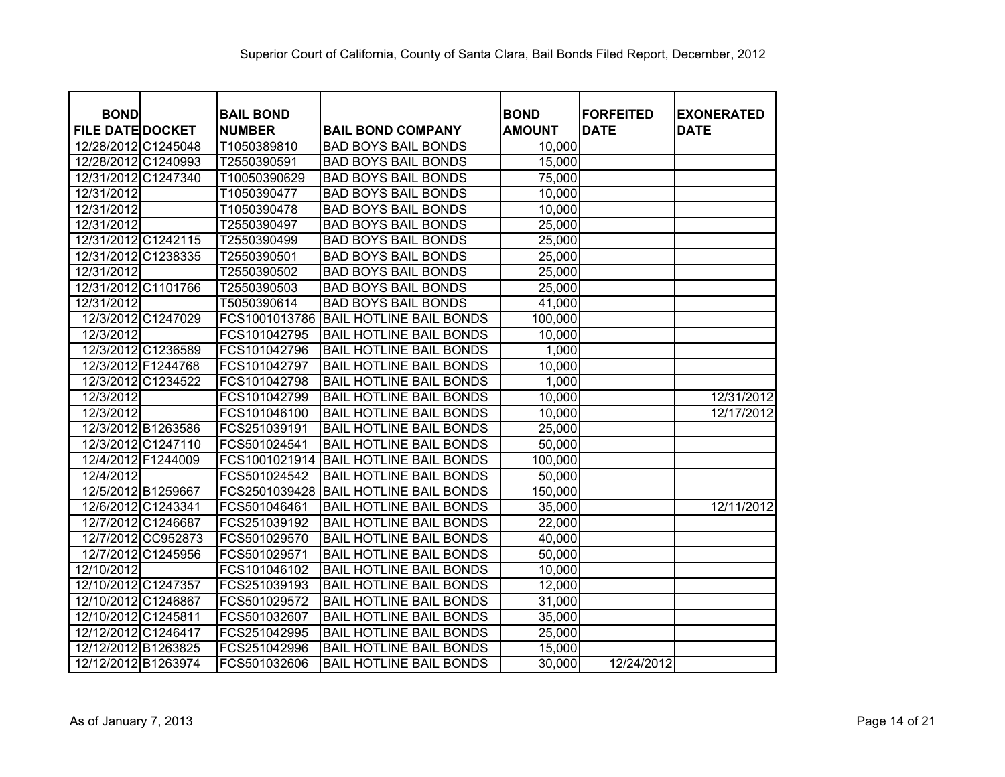| <b>BOND</b>             | <b>BAIL BOND</b> |                                | <b>BOND</b>   | <b>FORFEITED</b> | <b>EXONERATED</b> |
|-------------------------|------------------|--------------------------------|---------------|------------------|-------------------|
| <b>FILE DATE DOCKET</b> | <b>NUMBER</b>    | <b>BAIL BOND COMPANY</b>       | <b>AMOUNT</b> | <b>DATE</b>      | <b>DATE</b>       |
| 12/28/2012 C1245048     | T1050389810      | <b>BAD BOYS BAIL BONDS</b>     | 10,000        |                  |                   |
| 12/28/2012 C1240993     | T2550390591      | <b>BAD BOYS BAIL BONDS</b>     | 15,000        |                  |                   |
| 12/31/2012 C1247340     | T10050390629     | <b>BAD BOYS BAIL BONDS</b>     | 75,000        |                  |                   |
| 12/31/2012              | T1050390477      | <b>BAD BOYS BAIL BONDS</b>     | 10,000        |                  |                   |
| 12/31/2012              | T1050390478      | <b>BAD BOYS BAIL BONDS</b>     | 10,000        |                  |                   |
| 12/31/2012              | T2550390497      | <b>BAD BOYS BAIL BONDS</b>     | 25,000        |                  |                   |
| 12/31/2012 C1242115     | T2550390499      | <b>BAD BOYS BAIL BONDS</b>     | 25,000        |                  |                   |
| 12/31/2012 C1238335     | T2550390501      | <b>BAD BOYS BAIL BONDS</b>     | 25,000        |                  |                   |
| 12/31/2012              | T2550390502      | <b>BAD BOYS BAIL BONDS</b>     | 25,000        |                  |                   |
| 12/31/2012 C1101766     | T2550390503      | <b>BAD BOYS BAIL BONDS</b>     | 25,000        |                  |                   |
| 12/31/2012              | T5050390614      | <b>BAD BOYS BAIL BONDS</b>     | 41,000        |                  |                   |
| 12/3/2012 C1247029      | FCS1001013786    | <b>BAIL HOTLINE BAIL BONDS</b> | 100,000       |                  |                   |
| 12/3/2012               | FCS101042795     | <b>BAIL HOTLINE BAIL BONDS</b> | 10,000        |                  |                   |
| 12/3/2012 C1236589      | FCS101042796     | <b>BAIL HOTLINE BAIL BONDS</b> | 1,000         |                  |                   |
| 12/3/2012 F1244768      | FCS101042797     | <b>BAIL HOTLINE BAIL BONDS</b> | 10,000        |                  |                   |
| 12/3/2012 C1234522      | FCS101042798     | <b>BAIL HOTLINE BAIL BONDS</b> | 1,000         |                  |                   |
| 12/3/2012               | FCS101042799     | <b>BAIL HOTLINE BAIL BONDS</b> | 10,000        |                  | 12/31/2012        |
| 12/3/2012               | FCS101046100     | <b>BAIL HOTLINE BAIL BONDS</b> | 10,000        |                  | 12/17/2012        |
| 12/3/2012 B1263586      | FCS251039191     | <b>BAIL HOTLINE BAIL BONDS</b> | 25,000        |                  |                   |
| 12/3/2012 C1247110      | FCS501024541     | <b>BAIL HOTLINE BAIL BONDS</b> | 50,000        |                  |                   |
| 12/4/2012 F1244009      | FCS1001021914    | <b>BAIL HOTLINE BAIL BONDS</b> | 100,000       |                  |                   |
| 12/4/2012               | FCS501024542     | <b>BAIL HOTLINE BAIL BONDS</b> | 50,000        |                  |                   |
| 12/5/2012 B1259667      | FCS2501039428    | <b>BAIL HOTLINE BAIL BONDS</b> | 150,000       |                  |                   |
| 12/6/2012 C1243341      | FCS501046461     | <b>BAIL HOTLINE BAIL BONDS</b> | 35,000        |                  | 12/11/2012        |
| 12/7/2012 C1246687      | FCS251039192     | <b>BAIL HOTLINE BAIL BONDS</b> | 22,000        |                  |                   |
| 12/7/2012 CC952873      | FCS501029570     | <b>BAIL HOTLINE BAIL BONDS</b> | 40,000        |                  |                   |
| 12/7/2012 C1245956      | FCS501029571     | <b>BAIL HOTLINE BAIL BONDS</b> | 50,000        |                  |                   |
| 12/10/2012              | FCS101046102     | <b>BAIL HOTLINE BAIL BONDS</b> | 10,000        |                  |                   |
| 12/10/2012 C1247357     | FCS251039193     | <b>BAIL HOTLINE BAIL BONDS</b> | 12,000        |                  |                   |
| 12/10/2012 C1246867     | FCS501029572     | <b>BAIL HOTLINE BAIL BONDS</b> | 31,000        |                  |                   |
| 12/10/2012 C1245811     | FCS501032607     | <b>BAIL HOTLINE BAIL BONDS</b> | 35,000        |                  |                   |
| 12/12/2012 C1246417     | FCS251042995     | <b>BAIL HOTLINE BAIL BONDS</b> | 25,000        |                  |                   |
| 12/12/2012 B1263825     | FCS251042996     | <b>BAIL HOTLINE BAIL BONDS</b> | 15,000        |                  |                   |
| 12/12/2012 B1263974     | FCS501032606     | <b>BAIL HOTLINE BAIL BONDS</b> | 30,000        | 12/24/2012       |                   |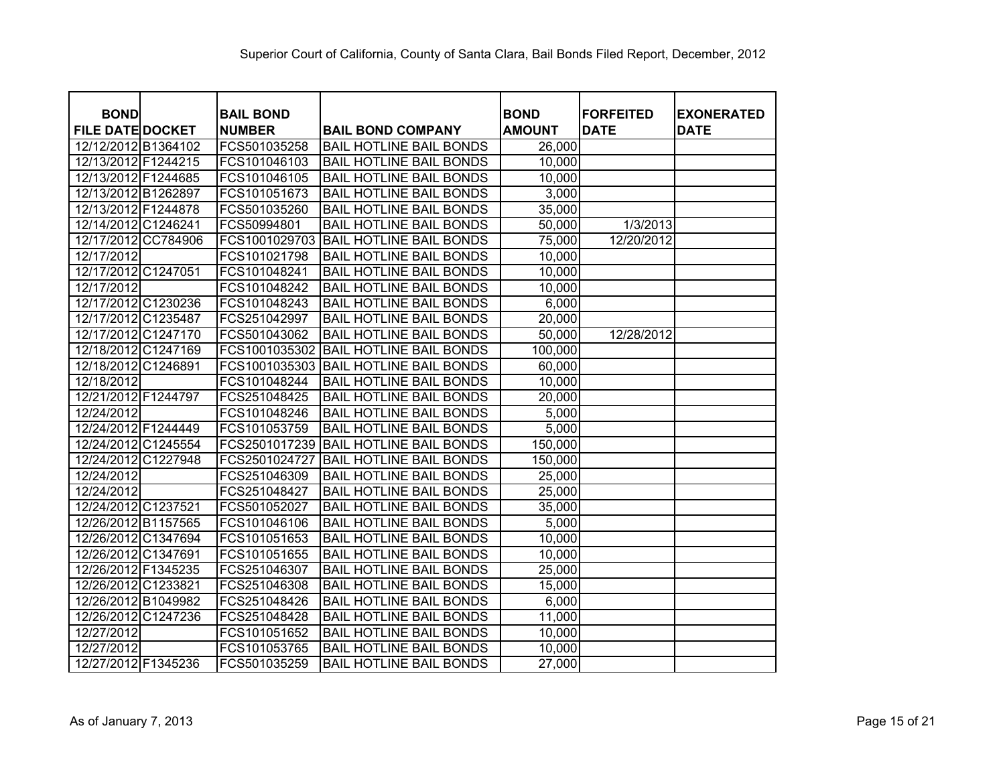| <b>BOND</b>             | <b>BAIL BOND</b> |                                | <b>BOND</b>   | <b>FORFEITED</b> | <b>EXONERATED</b> |
|-------------------------|------------------|--------------------------------|---------------|------------------|-------------------|
| <b>FILE DATE DOCKET</b> | <b>NUMBER</b>    | <b>BAIL BOND COMPANY</b>       | <b>AMOUNT</b> | <b>DATE</b>      | <b>DATE</b>       |
| 12/12/2012 B1364102     | FCS501035258     | <b>BAIL HOTLINE BAIL BONDS</b> | 26,000        |                  |                   |
| 12/13/2012 F1244215     | FCS101046103     | <b>BAIL HOTLINE BAIL BONDS</b> | 10,000        |                  |                   |
| 12/13/2012 F1244685     | FCS101046105     | <b>BAIL HOTLINE BAIL BONDS</b> | 10,000        |                  |                   |
| 12/13/2012 B1262897     | FCS101051673     | <b>BAIL HOTLINE BAIL BONDS</b> | 3,000         |                  |                   |
| 12/13/2012 F1244878     | FCS501035260     | <b>BAIL HOTLINE BAIL BONDS</b> | 35,000        |                  |                   |
| 12/14/2012 C1246241     | FCS50994801      | <b>BAIL HOTLINE BAIL BONDS</b> | 50,000        | 1/3/2013         |                   |
| 12/17/2012 CC784906     | FCS1001029703    | <b>BAIL HOTLINE BAIL BONDS</b> | 75,000        | 12/20/2012       |                   |
| 12/17/2012              | FCS101021798     | <b>BAIL HOTLINE BAIL BONDS</b> | 10,000        |                  |                   |
| 12/17/2012 C1247051     | FCS101048241     | <b>BAIL HOTLINE BAIL BONDS</b> | 10,000        |                  |                   |
| 12/17/2012              | FCS101048242     | <b>BAIL HOTLINE BAIL BONDS</b> | 10,000        |                  |                   |
| 12/17/2012 C1230236     | FCS101048243     | <b>BAIL HOTLINE BAIL BONDS</b> | 6,000         |                  |                   |
| 12/17/2012 C1235487     | FCS251042997     | <b>BAIL HOTLINE BAIL BONDS</b> | 20,000        |                  |                   |
| 12/17/2012 C1247170     | FCS501043062     | <b>BAIL HOTLINE BAIL BONDS</b> | 50,000        | 12/28/2012       |                   |
| 12/18/2012 C1247169     | FCS1001035302    | <b>BAIL HOTLINE BAIL BONDS</b> | 100,000       |                  |                   |
| 12/18/2012 C1246891     | FCS1001035303    | <b>BAIL HOTLINE BAIL BONDS</b> | 60,000        |                  |                   |
| 12/18/2012              | FCS101048244     | <b>BAIL HOTLINE BAIL BONDS</b> | 10,000        |                  |                   |
| 12/21/2012 F1244797     | FCS251048425     | <b>BAIL HOTLINE BAIL BONDS</b> | 20,000        |                  |                   |
| 12/24/2012              | FCS101048246     | <b>BAIL HOTLINE BAIL BONDS</b> | 5,000         |                  |                   |
| 12/24/2012 F1244449     | FCS101053759     | <b>BAIL HOTLINE BAIL BONDS</b> | 5,000         |                  |                   |
| 12/24/2012 C1245554     | FCS2501017239    | <b>BAIL HOTLINE BAIL BONDS</b> | 150,000       |                  |                   |
| 12/24/2012 C1227948     | FCS2501024727    | <b>BAIL HOTLINE BAIL BONDS</b> | 150,000       |                  |                   |
| 12/24/2012              | FCS251046309     | <b>BAIL HOTLINE BAIL BONDS</b> | 25,000        |                  |                   |
| 12/24/2012              | FCS251048427     | <b>BAIL HOTLINE BAIL BONDS</b> | 25,000        |                  |                   |
| 12/24/2012 C1237521     | FCS501052027     | <b>BAIL HOTLINE BAIL BONDS</b> | 35,000        |                  |                   |
| 12/26/2012 B1157565     | FCS101046106     | <b>BAIL HOTLINE BAIL BONDS</b> | 5,000         |                  |                   |
| 12/26/2012 C1347694     | FCS101051653     | <b>BAIL HOTLINE BAIL BONDS</b> | 10,000        |                  |                   |
| 12/26/2012 C1347691     | FCS101051655     | <b>BAIL HOTLINE BAIL BONDS</b> | 10,000        |                  |                   |
| 12/26/2012 F1345235     | FCS251046307     | <b>BAIL HOTLINE BAIL BONDS</b> | 25,000        |                  |                   |
| 12/26/2012 C1233821     | FCS251046308     | <b>BAIL HOTLINE BAIL BONDS</b> | 15,000        |                  |                   |
| 12/26/2012 B1049982     | FCS251048426     | <b>BAIL HOTLINE BAIL BONDS</b> | 6,000         |                  |                   |
| 12/26/2012 C1247236     | FCS251048428     | <b>BAIL HOTLINE BAIL BONDS</b> | 11,000        |                  |                   |
| 12/27/2012              | FCS101051652     | <b>BAIL HOTLINE BAIL BONDS</b> | 10,000        |                  |                   |
| 12/27/2012              | FCS101053765     | <b>BAIL HOTLINE BAIL BONDS</b> | 10,000        |                  |                   |
| 12/27/2012 F1345236     | FCS501035259     | <b>BAIL HOTLINE BAIL BONDS</b> | 27,000        |                  |                   |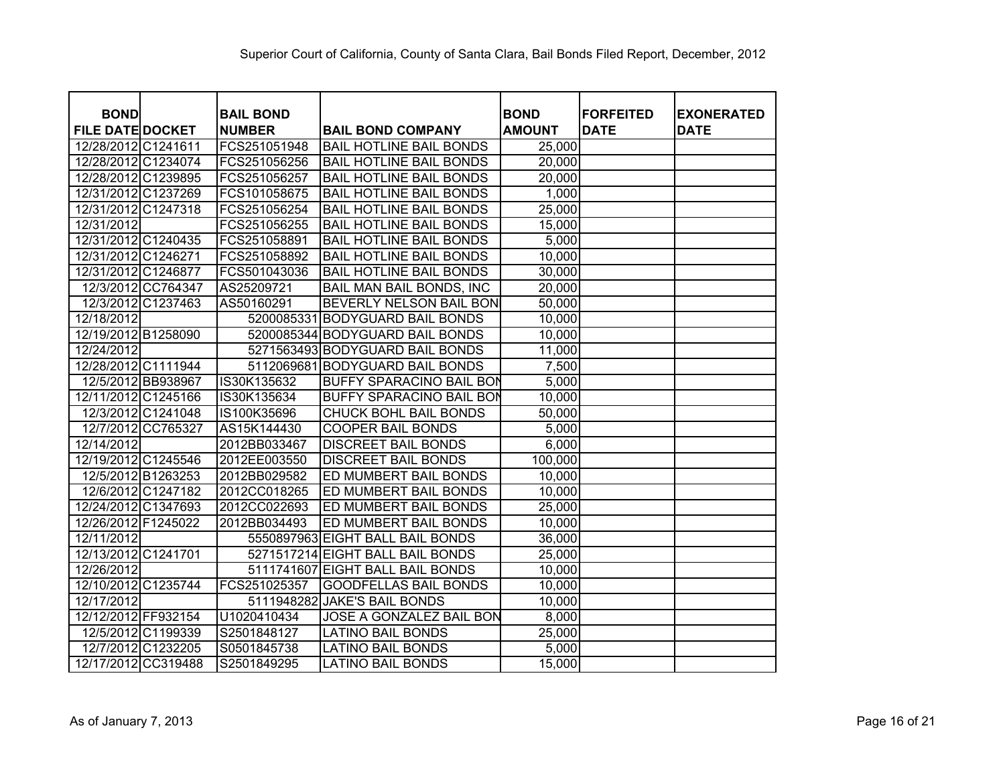| <b>BOND</b>             |                    | <b>BAIL BOND</b> |                                  | <b>BOND</b>   | <b>FORFEITED</b> | <b>EXONERATED</b> |
|-------------------------|--------------------|------------------|----------------------------------|---------------|------------------|-------------------|
| <b>FILE DATE DOCKET</b> |                    | <b>NUMBER</b>    | <b>BAIL BOND COMPANY</b>         | <b>AMOUNT</b> | <b>DATE</b>      | <b>DATE</b>       |
| 12/28/2012 C1241611     |                    | FCS251051948     | <b>BAIL HOTLINE BAIL BONDS</b>   | 25,000        |                  |                   |
| 12/28/2012 C1234074     |                    | FCS251056256     | <b>BAIL HOTLINE BAIL BONDS</b>   | 20,000        |                  |                   |
| 12/28/2012 C1239895     |                    | FCS251056257     | <b>BAIL HOTLINE BAIL BONDS</b>   | 20,000        |                  |                   |
| 12/31/2012 C1237269     |                    | FCS101058675     | <b>BAIL HOTLINE BAIL BONDS</b>   | 1,000         |                  |                   |
| 12/31/2012 C1247318     |                    | FCS251056254     | <b>BAIL HOTLINE BAIL BONDS</b>   | 25,000        |                  |                   |
| 12/31/2012              |                    | FCS251056255     | <b>BAIL HOTLINE BAIL BONDS</b>   | 15,000        |                  |                   |
| 12/31/2012 C1240435     |                    | FCS251058891     | <b>BAIL HOTLINE BAIL BONDS</b>   | 5,000         |                  |                   |
| 12/31/2012 C1246271     |                    | FCS251058892     | <b>BAIL HOTLINE BAIL BONDS</b>   | 10,000        |                  |                   |
| 12/31/2012 C1246877     |                    | FCS501043036     | <b>BAIL HOTLINE BAIL BONDS</b>   | 30,000        |                  |                   |
|                         | 12/3/2012 CC764347 | AS25209721       | BAIL MAN BAIL BONDS, INC         | 20,000        |                  |                   |
| 12/3/2012 C1237463      |                    | AS50160291       | BEVERLY NELSON BAIL BON          | 50,000        |                  |                   |
| 12/18/2012              |                    |                  | 5200085331 BODYGUARD BAIL BONDS  | 10,000        |                  |                   |
| 12/19/2012 B1258090     |                    |                  | 5200085344 BODYGUARD BAIL BONDS  | 10,000        |                  |                   |
| 12/24/2012              |                    |                  | 5271563493 BODYGUARD BAIL BONDS  | 11,000        |                  |                   |
| 12/28/2012 C1111944     |                    |                  | 5112069681 BODYGUARD BAIL BONDS  | 7,500         |                  |                   |
| 12/5/2012 BB938967      |                    | IS30K135632      | <b>BUFFY SPARACINO BAIL BON</b>  | 5,000         |                  |                   |
| 12/11/2012 C1245166     |                    | IS30K135634      | <b>BUFFY SPARACINO BAIL BON</b>  | 10,000        |                  |                   |
| 12/3/2012 C1241048      |                    | IS100K35696      | CHUCK BOHL BAIL BONDS            | 50,000        |                  |                   |
| 12/7/2012 CC765327      |                    | AS15K144430      | <b>COOPER BAIL BONDS</b>         | 5,000         |                  |                   |
| 12/14/2012              |                    | 2012BB033467     | <b>DISCREET BAIL BONDS</b>       | 6,000         |                  |                   |
| 12/19/2012 C1245546     |                    | 2012EE003550     | <b>DISCREET BAIL BONDS</b>       | 100,000       |                  |                   |
| 12/5/2012 B1263253      |                    | 2012BB029582     | ED MUMBERT BAIL BONDS            | 10,000        |                  |                   |
| 12/6/2012 C1247182      |                    | 2012CC018265     | ED MUMBERT BAIL BONDS            | 10,000        |                  |                   |
| 12/24/2012 C1347693     |                    | 2012CC022693     | ED MUMBERT BAIL BONDS            | 25,000        |                  |                   |
| 12/26/2012 F1245022     |                    | 2012BB034493     | <b>ED MUMBERT BAIL BONDS</b>     | 10,000        |                  |                   |
| 12/11/2012              |                    |                  | 5550897963 EIGHT BALL BAIL BONDS | 36,000        |                  |                   |
| 12/13/2012 C1241701     |                    |                  | 5271517214 EIGHT BALL BAIL BONDS | 25,000        |                  |                   |
| 12/26/2012              |                    |                  | 5111741607 EIGHT BALL BAIL BONDS | 10,000        |                  |                   |
| 12/10/2012 C1235744     |                    | FCS251025357     | <b>GOODFELLAS BAIL BONDS</b>     | 10,000        |                  |                   |
| 12/17/2012              |                    |                  | 5111948282 JAKE'S BAIL BONDS     | 10,000        |                  |                   |
| 12/12/2012 FF932154     |                    | U1020410434      | JOSE A GONZALEZ BAIL BON         | 8,000         |                  |                   |
| 12/5/2012 C1199339      |                    | S2501848127      | <b>LATINO BAIL BONDS</b>         | 25,000        |                  |                   |
| 12/7/2012 C1232205      |                    | S0501845738      | <b>LATINO BAIL BONDS</b>         | 5,000         |                  |                   |
| 12/17/2012 CC319488     |                    | S2501849295      | <b>LATINO BAIL BONDS</b>         | 15,000        |                  |                   |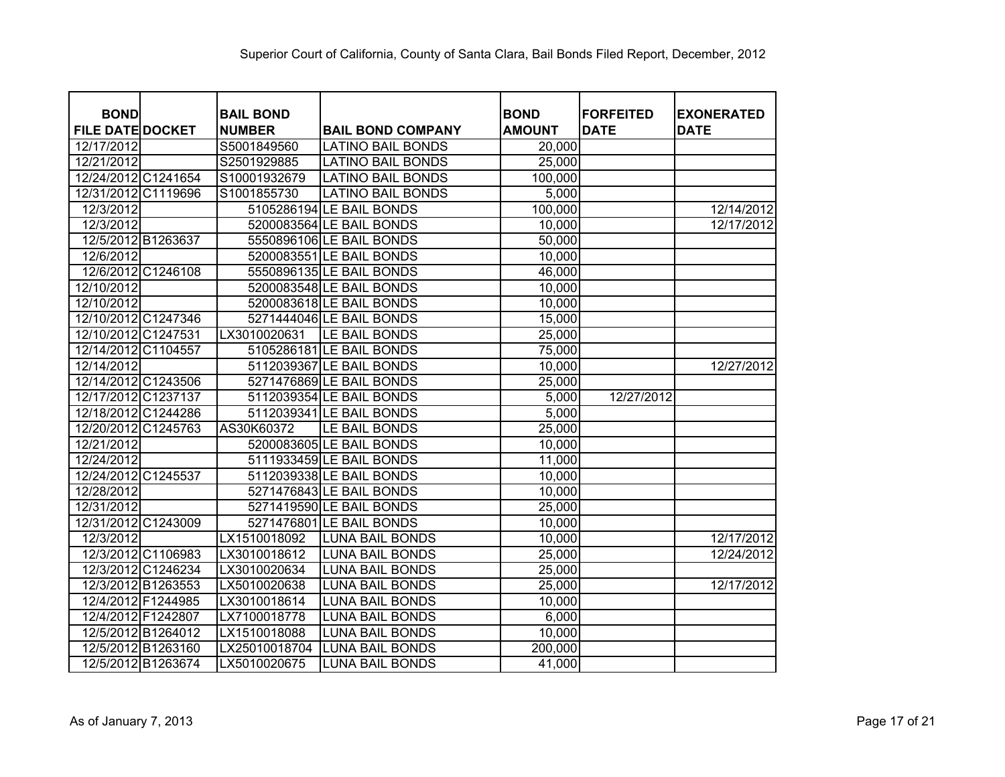| <b>BOND</b>             | <b>BAIL BOND</b> |                          | <b>BOND</b>   | <b>FORFEITED</b> | <b>EXONERATED</b> |
|-------------------------|------------------|--------------------------|---------------|------------------|-------------------|
| <b>FILE DATE DOCKET</b> | <b>NUMBER</b>    | <b>BAIL BOND COMPANY</b> | <b>AMOUNT</b> | <b>DATE</b>      | <b>DATE</b>       |
| 12/17/2012              | S5001849560      | <b>LATINO BAIL BONDS</b> | 20,000        |                  |                   |
| 12/21/2012              | S2501929885      | <b>LATINO BAIL BONDS</b> | 25,000        |                  |                   |
| 12/24/2012 C1241654     | S10001932679     | <b>LATINO BAIL BONDS</b> | 100,000       |                  |                   |
| 12/31/2012 C1119696     | S1001855730      | <b>LATINO BAIL BONDS</b> | 5,000         |                  |                   |
| 12/3/2012               |                  | 5105286194 LE BAIL BONDS | 100,000       |                  | 12/14/2012        |
| 12/3/2012               |                  | 5200083564 LE BAIL BONDS | 10,000        |                  | 12/17/2012        |
| 12/5/2012 B1263637      |                  | 5550896106 LE BAIL BONDS | 50,000        |                  |                   |
| 12/6/2012               |                  | 5200083551 LE BAIL BONDS | 10,000        |                  |                   |
| 12/6/2012 C1246108      |                  | 5550896135 LE BAIL BONDS | 46,000        |                  |                   |
| 12/10/2012              |                  | 5200083548 LE BAIL BONDS | 10,000        |                  |                   |
| 12/10/2012              |                  | 5200083618 LE BAIL BONDS | 10,000        |                  |                   |
| 12/10/2012 C1247346     |                  | 5271444046 LE BAIL BONDS | 15,000        |                  |                   |
| 12/10/2012 C1247531     | LX3010020631     | LE BAIL BONDS            | 25,000        |                  |                   |
| 12/14/2012 C1104557     |                  | 5105286181 LE BAIL BONDS | 75,000        |                  |                   |
| 12/14/2012              |                  | 5112039367 LE BAIL BONDS | 10,000        |                  | 12/27/2012        |
| 12/14/2012 C1243506     |                  | 5271476869 LE BAIL BONDS | 25,000        |                  |                   |
| 12/17/2012 C1237137     |                  | 5112039354 LE BAIL BONDS | 5,000         | 12/27/2012       |                   |
| 12/18/2012 C1244286     |                  | 5112039341 LE BAIL BONDS | 5,000         |                  |                   |
| 12/20/2012 C1245763     | AS30K60372       | LE BAIL BONDS            | 25,000        |                  |                   |
| 12/21/2012              |                  | 5200083605 LE BAIL BONDS | 10,000        |                  |                   |
| 12/24/2012              |                  | 5111933459 LE BAIL BONDS | 11,000        |                  |                   |
| 12/24/2012 C1245537     |                  | 5112039338 LE BAIL BONDS | 10,000        |                  |                   |
| 12/28/2012              |                  | 5271476843 LE BAIL BONDS | 10,000        |                  |                   |
| 12/31/2012              |                  | 5271419590 LE BAIL BONDS | 25,000        |                  |                   |
| 12/31/2012 C1243009     |                  | 5271476801 LE BAIL BONDS | 10,000        |                  |                   |
| 12/3/2012               | LX1510018092     | <b>LUNA BAIL BONDS</b>   | 10,000        |                  | 12/17/2012        |
| 12/3/2012 C1106983      | LX3010018612     | <b>LUNA BAIL BONDS</b>   | 25,000        |                  | 12/24/2012        |
| 12/3/2012 C1246234      | LX3010020634     | <b>LUNA BAIL BONDS</b>   | 25,000        |                  |                   |
| 12/3/2012 B1263553      | LX5010020638     | <b>LUNA BAIL BONDS</b>   | 25,000        |                  | 12/17/2012        |
| 12/4/2012 F1244985      | LX3010018614     | <b>LUNA BAIL BONDS</b>   | 10,000        |                  |                   |
| 12/4/2012 F1242807      | LX7100018778     | <b>LUNA BAIL BONDS</b>   | 6,000         |                  |                   |
| 12/5/2012 B1264012      | LX1510018088     | <b>LUNA BAIL BONDS</b>   | 10,000        |                  |                   |
| 12/5/2012 B1263160      | LX25010018704    | <b>LUNA BAIL BONDS</b>   | 200,000       |                  |                   |
| 12/5/2012 B1263674      | LX5010020675     | <b>LUNA BAIL BONDS</b>   | 41,000        |                  |                   |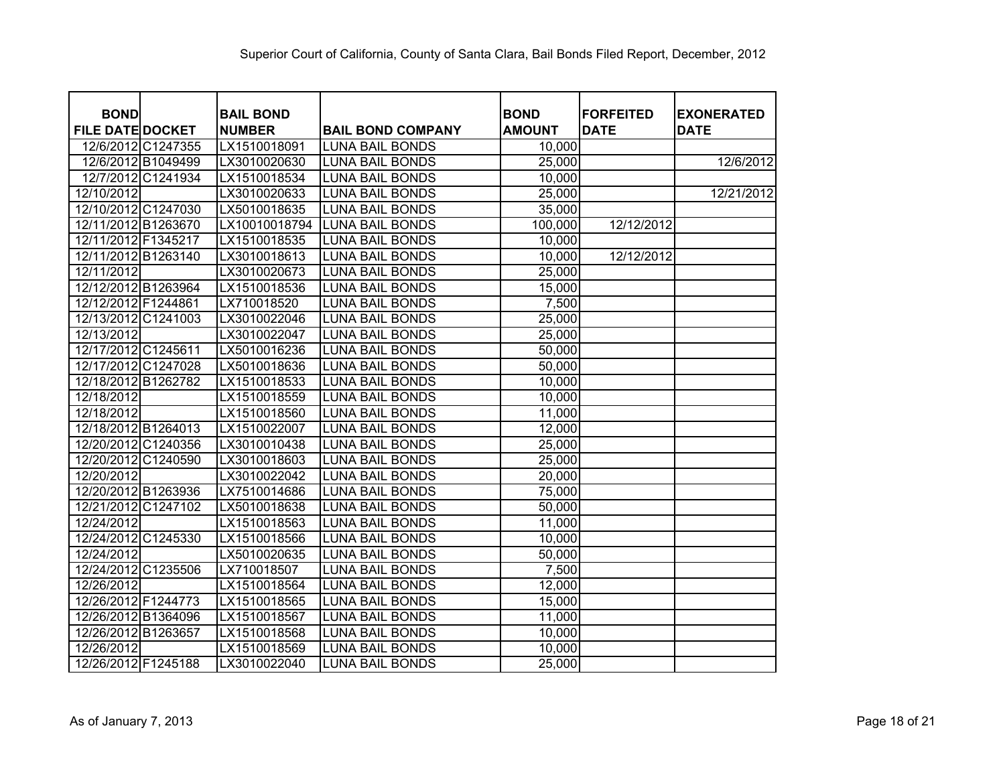| <b>BOND</b>             | <b>BAIL BOND</b> |                          | <b>BOND</b>   | <b>FORFEITED</b> | <b>EXONERATED</b> |
|-------------------------|------------------|--------------------------|---------------|------------------|-------------------|
| <b>FILE DATE DOCKET</b> | <b>NUMBER</b>    | <b>BAIL BOND COMPANY</b> | <b>AMOUNT</b> | <b>DATE</b>      | <b>DATE</b>       |
| 12/6/2012 C1247355      | LX1510018091     | <b>LUNA BAIL BONDS</b>   | 10,000        |                  |                   |
| 12/6/2012 B1049499      | LX3010020630     | <b>LUNA BAIL BONDS</b>   | 25,000        |                  | 12/6/2012         |
| 12/7/2012 C1241934      | LX1510018534     | <b>LUNA BAIL BONDS</b>   | 10,000        |                  |                   |
| 12/10/2012              | LX3010020633     | <b>LUNA BAIL BONDS</b>   | 25,000        |                  | 12/21/2012        |
| 12/10/2012 C1247030     | LX5010018635     | <b>LUNA BAIL BONDS</b>   | 35,000        |                  |                   |
| 12/11/2012 B1263670     | LX10010018794    | <b>LUNA BAIL BONDS</b>   | 100,000       | 12/12/2012       |                   |
| 12/11/2012 F1345217     | LX1510018535     | <b>LUNA BAIL BONDS</b>   | 10,000        |                  |                   |
| 12/11/2012 B1263140     | LX3010018613     | <b>LUNA BAIL BONDS</b>   | 10,000        | 12/12/2012       |                   |
| 12/11/2012              | LX3010020673     | <b>LUNA BAIL BONDS</b>   | 25,000        |                  |                   |
| 12/12/2012 B1263964     | LX1510018536     | <b>LUNA BAIL BONDS</b>   | 15,000        |                  |                   |
| 12/12/2012 F1244861     | LX710018520      | <b>LUNA BAIL BONDS</b>   | 7,500         |                  |                   |
| 12/13/2012 C1241003     | LX3010022046     | <b>LUNA BAIL BONDS</b>   | 25,000        |                  |                   |
| 12/13/2012              | LX3010022047     | <b>LUNA BAIL BONDS</b>   | 25,000        |                  |                   |
| 12/17/2012 C1245611     | LX5010016236     | <b>LUNA BAIL BONDS</b>   | 50,000        |                  |                   |
| 12/17/2012 C1247028     | LX5010018636     | <b>LUNA BAIL BONDS</b>   | 50,000        |                  |                   |
| 12/18/2012 B1262782     | LX1510018533     | <b>LUNA BAIL BONDS</b>   | 10,000        |                  |                   |
| 12/18/2012              | LX1510018559     | <b>LUNA BAIL BONDS</b>   | 10,000        |                  |                   |
| 12/18/2012              | LX1510018560     | <b>LUNA BAIL BONDS</b>   | 11,000        |                  |                   |
| 12/18/2012 B1264013     | LX1510022007     | <b>LUNA BAIL BONDS</b>   | 12,000        |                  |                   |
| 12/20/2012 C1240356     | LX3010010438     | <b>LUNA BAIL BONDS</b>   | 25,000        |                  |                   |
| 12/20/2012 C1240590     | LX3010018603     | <b>LUNA BAIL BONDS</b>   | 25,000        |                  |                   |
| 12/20/2012              | LX3010022042     | <b>LUNA BAIL BONDS</b>   | 20,000        |                  |                   |
| 12/20/2012 B1263936     | LX7510014686     | <b>LUNA BAIL BONDS</b>   | 75,000        |                  |                   |
| 12/21/2012 C1247102     | LX5010018638     | <b>LUNA BAIL BONDS</b>   | 50,000        |                  |                   |
| 12/24/2012              | LX1510018563     | <b>LUNA BAIL BONDS</b>   | 11,000        |                  |                   |
| 12/24/2012 C1245330     | LX1510018566     | <b>LUNA BAIL BONDS</b>   | 10,000        |                  |                   |
| 12/24/2012              | LX5010020635     | <b>LUNA BAIL BONDS</b>   | 50,000        |                  |                   |
| 12/24/2012 C1235506     | LX710018507      | <b>LUNA BAIL BONDS</b>   | 7,500         |                  |                   |
| 12/26/2012              | LX1510018564     | <b>LUNA BAIL BONDS</b>   | 12,000        |                  |                   |
| 12/26/2012 F1244773     | LX1510018565     | <b>LUNA BAIL BONDS</b>   | 15,000        |                  |                   |
| 12/26/2012 B1364096     | LX1510018567     | <b>LUNA BAIL BONDS</b>   | 11,000        |                  |                   |
| 12/26/2012 B1263657     | LX1510018568     | <b>LUNA BAIL BONDS</b>   | 10,000        |                  |                   |
| 12/26/2012              | LX1510018569     | <b>LUNA BAIL BONDS</b>   | 10,000        |                  |                   |
| 12/26/2012 F1245188     | LX3010022040     | <b>LUNA BAIL BONDS</b>   | 25,000        |                  |                   |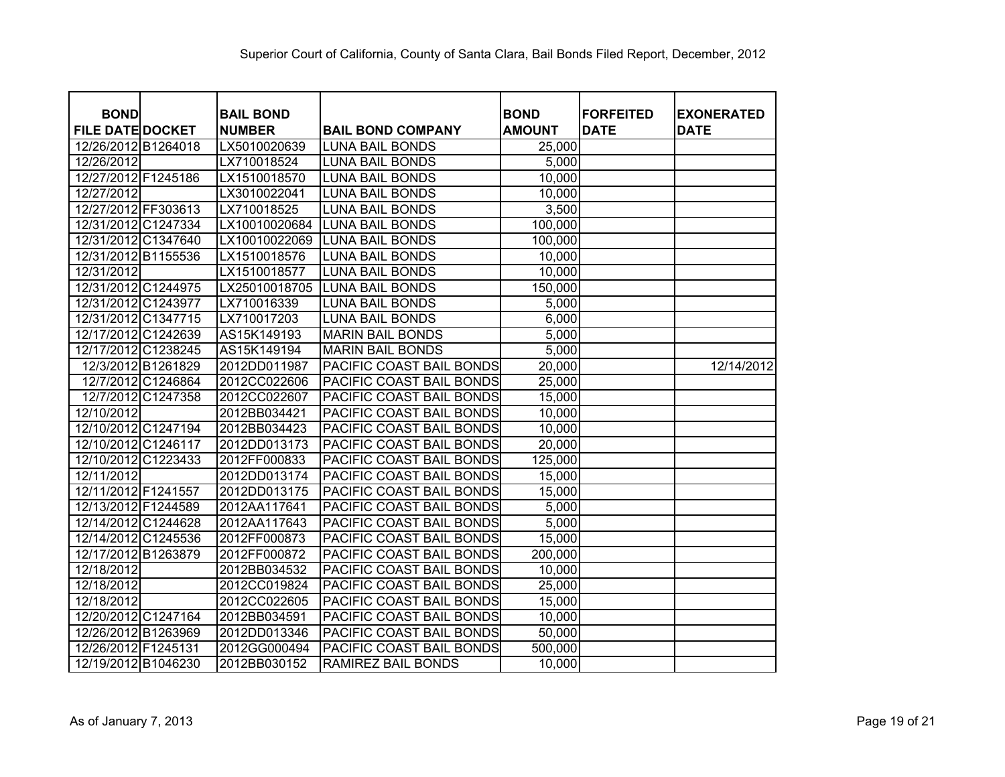| <b>BOND</b><br><b>FILE DATE DOCKET</b> | <b>BAIL BOND</b><br><b>NUMBER</b> | <b>BAIL BOND COMPANY</b> | <b>BOND</b><br><b>AMOUNT</b> | <b>FORFEITED</b><br><b>DATE</b> | <b>EXONERATED</b><br><b>DATE</b> |
|----------------------------------------|-----------------------------------|--------------------------|------------------------------|---------------------------------|----------------------------------|
| 12/26/2012 B1264018                    | LX5010020639                      | <b>LUNA BAIL BONDS</b>   | 25,000                       |                                 |                                  |
| 12/26/2012                             | LX710018524                       | <b>LUNA BAIL BONDS</b>   | 5,000                        |                                 |                                  |
| 12/27/2012 F1245186                    | LX1510018570                      | <b>LUNA BAIL BONDS</b>   | 10,000                       |                                 |                                  |
| 12/27/2012                             | LX3010022041                      | <b>LUNA BAIL BONDS</b>   | 10,000                       |                                 |                                  |
| 12/27/2012 FF303613                    | LX710018525                       | <b>LUNA BAIL BONDS</b>   | 3,500                        |                                 |                                  |
| 12/31/2012 C1247334                    | LX10010020684                     | <b>LUNA BAIL BONDS</b>   | 100,000                      |                                 |                                  |
| 12/31/2012 C1347640                    | LX10010022069                     | <b>LUNA BAIL BONDS</b>   | 100,000                      |                                 |                                  |
| 12/31/2012 B1155536                    | LX1510018576                      | <b>LUNA BAIL BONDS</b>   | 10,000                       |                                 |                                  |
| 12/31/2012                             | LX1510018577                      | <b>LUNA BAIL BONDS</b>   | 10,000                       |                                 |                                  |
| 12/31/2012 C1244975                    | LX25010018705                     | <b>LUNA BAIL BONDS</b>   | 150,000                      |                                 |                                  |
| 12/31/2012 C1243977                    | LX710016339                       | <b>LUNA BAIL BONDS</b>   | 5,000                        |                                 |                                  |
| 12/31/2012 C1347715                    | LX710017203                       | <b>LUNA BAIL BONDS</b>   | 6,000                        |                                 |                                  |
| 12/17/2012 C1242639                    | AS15K149193                       | <b>MARIN BAIL BONDS</b>  | 5,000                        |                                 |                                  |
| 12/17/2012 C1238245                    | AS15K149194                       | <b>MARIN BAIL BONDS</b>  | 5,000                        |                                 |                                  |
| 12/3/2012 B1261829                     | 2012DD011987                      | PACIFIC COAST BAIL BONDS | 20,000                       |                                 | 12/14/2012                       |
| 12/7/2012 C1246864                     | 2012CC022606                      | PACIFIC COAST BAIL BONDS | 25,000                       |                                 |                                  |
| 12/7/2012 C1247358                     | 2012CC022607                      | PACIFIC COAST BAIL BONDS | 15,000                       |                                 |                                  |
| 12/10/2012                             | 2012BB034421                      | PACIFIC COAST BAIL BONDS | 10,000                       |                                 |                                  |
| 12/10/2012 C1247194                    | 2012BB034423                      | PACIFIC COAST BAIL BONDS | 10,000                       |                                 |                                  |
| 12/10/2012 C1246117                    | 2012DD013173                      | PACIFIC COAST BAIL BONDS | 20,000                       |                                 |                                  |
| 12/10/2012 C1223433                    | 2012FF000833                      | PACIFIC COAST BAIL BONDS | 125,000                      |                                 |                                  |
| 12/11/2012                             | 2012DD013174                      | PACIFIC COAST BAIL BONDS | 15,000                       |                                 |                                  |
| 12/11/2012 F1241557                    | 2012DD013175                      | PACIFIC COAST BAIL BONDS | 15,000                       |                                 |                                  |
| 12/13/2012 F1244589                    | 2012AA117641                      | PACIFIC COAST BAIL BONDS | 5,000                        |                                 |                                  |
| 12/14/2012 C1244628                    | 2012AA117643                      | PACIFIC COAST BAIL BONDS | 5,000                        |                                 |                                  |
| 12/14/2012 C1245536                    | 2012FF000873                      | PACIFIC COAST BAIL BONDS | 15,000                       |                                 |                                  |
| 12/17/2012 B1263879                    | 2012FF000872                      | PACIFIC COAST BAIL BONDS | 200,000                      |                                 |                                  |
| 12/18/2012                             | 2012BB034532                      | PACIFIC COAST BAIL BONDS | 10,000                       |                                 |                                  |
| 12/18/2012                             | 2012CC019824                      | PACIFIC COAST BAIL BONDS | 25,000                       |                                 |                                  |
| 12/18/2012                             | 2012CC022605                      | PACIFIC COAST BAIL BONDS | 15,000                       |                                 |                                  |
| 12/20/2012 C1247164                    | 2012BB034591                      | PACIFIC COAST BAIL BONDS | 10,000                       |                                 |                                  |
| 12/26/2012 B1263969                    | 2012DD013346                      | PACIFIC COAST BAIL BONDS | 50,000                       |                                 |                                  |
| 12/26/2012 F1245131                    | 2012GG000494                      | PACIFIC COAST BAIL BONDS | 500,000                      |                                 |                                  |
| 12/19/2012 B1046230                    | 2012BB030152                      | RAMIREZ BAIL BONDS       | 10,000                       |                                 |                                  |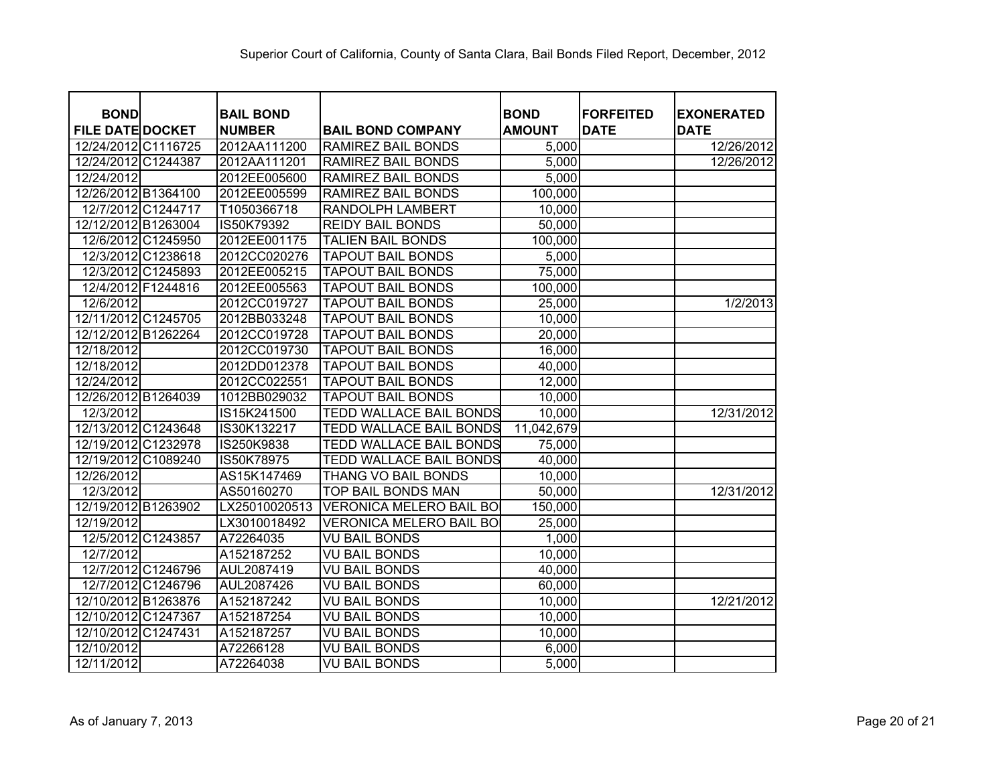| <b>BOND</b><br><b>FILE DATE DOCKET</b> | <b>BAIL BOND</b><br><b>NUMBER</b> | <b>BAIL BOND COMPANY</b>       | <b>BOND</b><br><b>AMOUNT</b> | <b>FORFEITED</b><br><b>DATE</b> | <b>EXONERATED</b><br><b>DATE</b> |
|----------------------------------------|-----------------------------------|--------------------------------|------------------------------|---------------------------------|----------------------------------|
| 12/24/2012 C1116725                    | 2012AA111200                      | <b>RAMIREZ BAIL BONDS</b>      | 5,000                        |                                 | 12/26/2012                       |
| 12/24/2012 C1244387                    | 2012AA111201                      | <b>RAMIREZ BAIL BONDS</b>      | 5,000                        |                                 | 12/26/2012                       |
| 12/24/2012                             | 2012EE005600                      | <b>RAMIREZ BAIL BONDS</b>      | 5,000                        |                                 |                                  |
| 12/26/2012 B1364100                    | 2012EE005599                      | <b>RAMIREZ BAIL BONDS</b>      | 100,000                      |                                 |                                  |
| 12/7/2012 C1244717                     | T1050366718                       | RANDOLPH LAMBERT               | 10,000                       |                                 |                                  |
| 12/12/2012 B1263004                    | IS50K79392                        | <b>REIDY BAIL BONDS</b>        | 50,000                       |                                 |                                  |
| 12/6/2012 C1245950                     | 2012EE001175                      | <b>TALIEN BAIL BONDS</b>       | 100,000                      |                                 |                                  |
| 12/3/2012 C1238618                     | 2012CC020276                      | <b>TAPOUT BAIL BONDS</b>       | 5,000                        |                                 |                                  |
| 12/3/2012 C1245893                     | 2012EE005215                      | <b>TAPOUT BAIL BONDS</b>       | 75,000                       |                                 |                                  |
| 12/4/2012 F1244816                     | 2012EE005563                      | <b>TAPOUT BAIL BONDS</b>       | 100,000                      |                                 |                                  |
| 12/6/2012                              | 2012CC019727                      | <b>TAPOUT BAIL BONDS</b>       | 25,000                       |                                 | 1/2/2013                         |
| 12/11/2012 C1245705                    | 2012BB033248                      | <b>TAPOUT BAIL BONDS</b>       | 10,000                       |                                 |                                  |
| 12/12/2012 B1262264                    | 2012CC019728                      | <b>TAPOUT BAIL BONDS</b>       | 20,000                       |                                 |                                  |
| 12/18/2012                             | 2012CC019730                      | <b>TAPOUT BAIL BONDS</b>       | 16,000                       |                                 |                                  |
| 12/18/2012                             | 2012DD012378                      | <b>TAPOUT BAIL BONDS</b>       | 40,000                       |                                 |                                  |
| 12/24/2012                             | 2012CC022551                      | <b>TAPOUT BAIL BONDS</b>       | 12,000                       |                                 |                                  |
| 12/26/2012 B1264039                    | 1012BB029032                      | <b>TAPOUT BAIL BONDS</b>       | 10,000                       |                                 |                                  |
| 12/3/2012                              | IS15K241500                       | <b>TEDD WALLACE BAIL BONDS</b> | 10,000                       |                                 | 12/31/2012                       |
| 12/13/2012 C1243648                    | IS30K132217                       | <b>TEDD WALLACE BAIL BONDS</b> | 11,042,679                   |                                 |                                  |
| 12/19/2012 C1232978                    | IS250K9838                        | <b>TEDD WALLACE BAIL BONDS</b> | 75,000                       |                                 |                                  |
| 12/19/2012<br>C1089240                 | IS50K78975                        | TEDD WALLACE BAIL BONDS        | 40,000                       |                                 |                                  |
| 12/26/2012                             | AS15K147469                       | <b>THANG VO BAIL BONDS</b>     | 10,000                       |                                 |                                  |
| 12/3/2012                              | AS50160270                        | TOP BAIL BONDS MAN             | 50,000                       |                                 | 12/31/2012                       |
| 12/19/2012 B1263902                    | LX25010020513                     | <b>VERONICA MELERO BAIL BO</b> | 150,000                      |                                 |                                  |
| 12/19/2012                             | LX3010018492                      | <b>VERONICA MELERO BAIL BO</b> | 25,000                       |                                 |                                  |
| 12/5/2012<br>C1243857                  | A72264035                         | <b>VU BAIL BONDS</b>           | 1,000                        |                                 |                                  |
| 12/7/2012                              | A152187252                        | <b>VU BAIL BONDS</b>           | 10,000                       |                                 |                                  |
| 12/7/2012 C1246796                     | AUL2087419                        | <b>VU BAIL BONDS</b>           | 40,000                       |                                 |                                  |
| 12/7/2012 C1246796                     | AUL2087426                        | <b>VU BAIL BONDS</b>           | 60,000                       |                                 |                                  |
| 12/10/2012 B1263876                    | A152187242                        | <b>VU BAIL BONDS</b>           | 10,000                       |                                 | 12/21/2012                       |
| 12/10/2012 C1247367                    | A152187254                        | VU BAIL BONDS                  | 10,000                       |                                 |                                  |
| 12/10/2012 C1247431                    | A152187257                        | <b>VU BAIL BONDS</b>           | 10,000                       |                                 |                                  |
| 12/10/2012                             | A72266128                         | VU BAIL BONDS                  | 6,000                        |                                 |                                  |
| 12/11/2012                             | A72264038                         | <b>VU BAIL BONDS</b>           | 5,000                        |                                 |                                  |